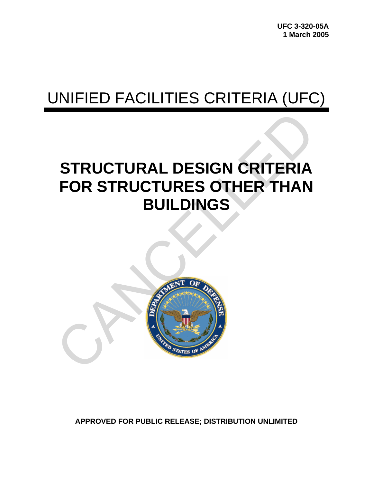# UNIFIED FACILITIES CRITERIA (UFC)

# **STRUCTURAL DESIGN CRITERIA FOR STRUCTURES OTHER THAN BUILDINGS**



**APPROVED FOR PUBLIC RELEASE; DISTRIBUTION UNLIMITED**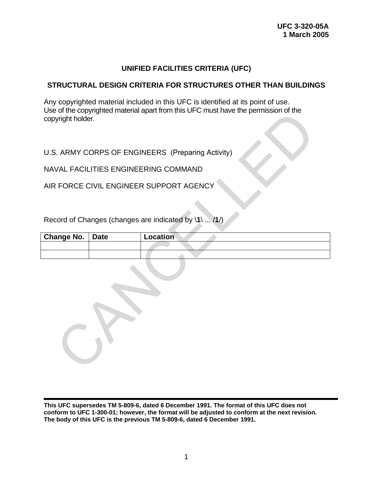## **UNIFIED FACILITIES CRITERIA (UFC)**

## **STRUCTURAL DESIGN CRITERIA FOR STRUCTURES OTHER THAN BUILDINGS**

Any copyrighted material included in this UFC is identified at its point of use. Use of the copyrighted material apart from this UFC must have the permission of the copyright holder.

| copyright holder. |             | USE OF the copyrighted material apart from this OFC must have the permission of the |
|-------------------|-------------|-------------------------------------------------------------------------------------|
|                   |             | U.S. ARMY CORPS OF ENGINEERS (Preparing Activity)                                   |
|                   |             | NAVAL FACILITIES ENGINEERING COMMAND                                                |
|                   |             | AIR FORCE CIVIL ENGINEER SUPPORT AGENCY                                             |
|                   |             |                                                                                     |
|                   |             | Record of Changes (changes are indicated by \1\  /1/)                               |
| <b>Change No.</b> | <b>Date</b> | Location                                                                            |
|                   |             |                                                                                     |
|                   |             |                                                                                     |
|                   |             |                                                                                     |

**This UFC supersedes TM 5-809-6, dated 6 December 1991. The format of this UFC does not conform to UFC 1-300-01; however, the format will be adjusted to conform at the next revision. The body of this UFC is the previous TM 5-809-6, dated 6 December 1991.**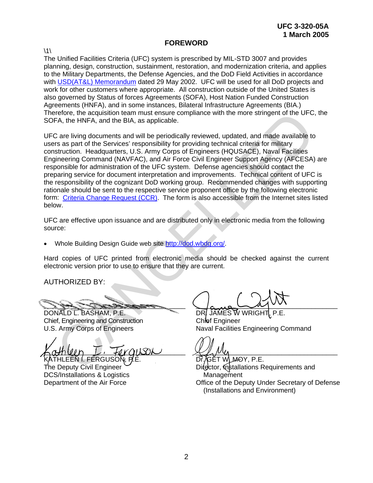## **FOREWORD**

 $\backslash$ 1 $\backslash$ 

The Unified Facilities Criteria (UFC) system is prescribed by MIL-STD 3007 and provides planning, design, construction, sustainment, restoration, and modernization criteria, and applies to the Military Departments, the Defense Agencies, and the DoD Field Activities in accordance with [USD\(AT&L\) Memorandum](http://www.wbdg.org/pdfs/ufc_implementation.pdf) dated 29 May 2002. UFC will be used for all DoD projects and work for other customers where appropriate. All construction outside of the United States is also governed by Status of forces Agreements (SOFA), Host Nation Funded Construction Agreements (HNFA), and in some instances, Bilateral Infrastructure Agreements (BIA.) Therefore, the acquisition team must ensure compliance with the more stringent of the UFC, the SOFA, the HNFA, and the BIA, as applicable.

UFC are living documents and will be periodically reviewed, updated, and made available to users as part of the Services' responsibility for providing technical criteria for military construction. Headquarters, U.S. Army Corps of Engineers (HQUSACE), Naval Facilities Engineering Command (NAVFAC), and Air Force Civil Engineer Support Agency (AFCESA) are responsible for administration of the UFC system. Defense agencies should contact the preparing service for document interpretation and improvements. Technical content of UFC is the responsibility of the cognizant DoD working group. Recommended changes with supporting rationale should be sent to the respective service proponent office by the following electronic form: Criteria Change Request (CCR). The form is also accessible from the Internet sites listed below. refore, the acquisition team must ensure compliance with the more stringent of the UFC,<br>
FA, the HNFA, and the BIA, as applicable.<br>
2 are living documents and will be periodically reviewed, updated, and made available to<br>

UFC are effective upon issuance and are distributed only in electronic media from the following source:

• Whole Building Design Guide web site http://dod.wbdg.org/.

Hard copies of UFC printed from electronic media should be checked against the current electronic version prior to use to ensure that they are current.

AUTHORIZED BY:

\_\_\_\_\_\_\_\_\_\_\_\_\_\_\_\_\_\_\_\_\_\_\_\_\_\_\_\_\_\_\_\_\_\_\_\_\_\_

DONALD L. BASHAM, P.E. Chief, Engineering and Construction U.S. Army Corps of Engineers

 $\kappa$ athuin  $L$ , foraison ATHLEEN I. FERGUSO $\widetilde{N}$ .

The Deputy Civil Engineer DCS/Installations & Logistics Department of the Air Force

 $\sqrt{a}$ 

DR. JAMES W WRIGHT Chief Engineer Naval Facilities Engineering Command

 $\mathcal{L}$   $\mu$   $\nu$ 

Dr̃, ⁄̄GĚT WLM-OY, P.E. Difector, Installations Requirements and **Management** Office of the Deputy Under Secretary of Defense (Installations and Environment)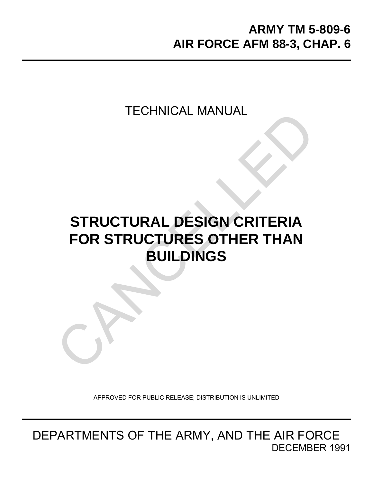TECHNICAL MANUAL

# **STRUCTURAL DESIGN CRITERIA FOR STRUCTURES OTHER THAN BUILDINGS** TECHNICAL MANUAL

APPROVED FOR PUBLIC RELEASE; DISTRIBUTION IS UNLIMITED

DEPARTMENTS OF THE ARMY, AND THE AIR FORCE DECEMBER 1991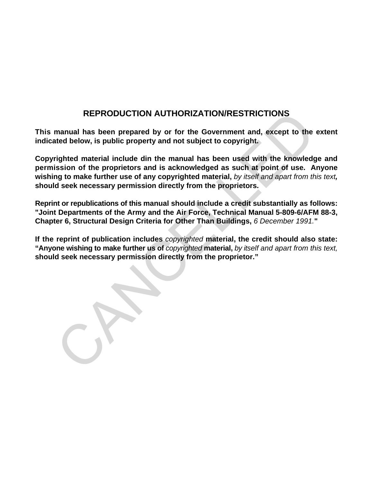## **REPRODUCTION AUTHORIZATION/RESTRICTIONS**

**This manual has been prepared by or for the Government and, except to the extent indicated below, is public property and not subject to copyright.**

**Copyrighted material include din the manual has been used with the knowledge and permission of the proprietors and is acknowledged as such at point of use. Anyone wishing to make further use of any copyrighted material,** *by itself and apart from this text,* **should seek necessary permission directly from the proprietors.** REPRODUCTION AUTHORIZATION/RESTRICTIONS<br>manual has been prepared by or for the Government and, except to the<br>ted below, is public property and not subject to copyright.<br>righted material include din the manual has been used

**Reprint or republications of this manual should include a credit substantially as follows: "Joint Departments of the Army and the Air Force, Technical Manual 5-809-6/AFM 88-3, Chapter 6, Structural Design Criteria for Other Than Buildings,** *6 December 1991.***"**

**If the reprint of publication includes** *copyrighted* **material, the credit should also state: "Anyone wishing to make further us of** *copyrighted* **material,** *by itself and apart from this text,* **should seek necessary permission directly from the proprietor."**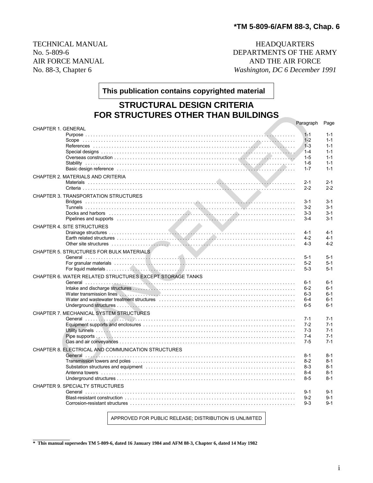TECHNICAL MANUAL **HEADQUARTERS** No. 5-809-6 DEPARTMENTS OF THE ARMY AIR FORCE MANUAL AND THE AIR FORCE No. 88-3, Chapter 6 *Washington, DC 6 December 1991*

**This publication contains copyrighted material**

## **STRUCTURAL DESIGN CRITERIA FOR STRUCTURES OTHER THAN BUILDINGS**

| <b>FOR STRUCTURES OTHER THAN BUILDINGS</b>                                                                                                                                                                                     |           |         |
|--------------------------------------------------------------------------------------------------------------------------------------------------------------------------------------------------------------------------------|-----------|---------|
|                                                                                                                                                                                                                                | Paragraph | Page    |
| <b>CHAPTER 1. GENERAL</b>                                                                                                                                                                                                      |           |         |
|                                                                                                                                                                                                                                | $1 - 1$   | $1 - 1$ |
|                                                                                                                                                                                                                                | $1 - 2$   | $1 - 1$ |
|                                                                                                                                                                                                                                | $1 - 3$   | $1 - 1$ |
|                                                                                                                                                                                                                                | $1 - 4$   | $1 - 1$ |
|                                                                                                                                                                                                                                | $1 - 5$   | $1 - 1$ |
|                                                                                                                                                                                                                                | $1 - 6$   | $1 - 1$ |
| Basic design reference education contracts and contact the contract of the contract of the contract of the contract of the contract of the contract of the contract of the contract of the contract of the contract of the con | $1 - 7$   | $1 - 1$ |
| CHAPTER 2. MATERIALS AND CRITERIA                                                                                                                                                                                              |           |         |
|                                                                                                                                                                                                                                | $2 - 1$   | $2 - 1$ |
|                                                                                                                                                                                                                                | $2 - 2$   | $2 - 2$ |
| <b>CHAPTER 3. TRANSPORTATION STRUCTURES</b>                                                                                                                                                                                    |           |         |
|                                                                                                                                                                                                                                | 3-1       | $3 - 1$ |
|                                                                                                                                                                                                                                | $3-2$     | $3 - 1$ |
| Docks and harbors encourance in the contract of the contract of the contract of the contract of the contract of the contract of the contract of the contract of the contract of the contract of the contract of the contract o | $3-3$     | $3 - 1$ |
|                                                                                                                                                                                                                                | $3-4$     | $3 - 1$ |
| CHAPTER 4. SITE STRUCTURES                                                                                                                                                                                                     |           |         |
|                                                                                                                                                                                                                                | $4 - 1$   | $4 - 1$ |
|                                                                                                                                                                                                                                | 4-2       | $4 - 1$ |
| Other site structures with the content of the content of the content of the structure of the structures of the structures of the structure of the structure of the structure of the structure of the structure of the structur | $4 - 3$   | $4 - 2$ |
|                                                                                                                                                                                                                                |           |         |
| CHAPTER 5. STRUCTURES FOR BULK MATERIALS                                                                                                                                                                                       |           |         |
|                                                                                                                                                                                                                                | $5 - 1$   | $5 - 1$ |
|                                                                                                                                                                                                                                | $5-2$     | $5-1$   |
|                                                                                                                                                                                                                                | $5-3$     | $5 - 1$ |
| CHAPTER 6. WATER RELATED STRUCTURES EXCEPT STORAGE TANKS                                                                                                                                                                       |           |         |
|                                                                                                                                                                                                                                | $6 - 1$   | $6 - 1$ |
|                                                                                                                                                                                                                                | $6 - 2$   | $6 - 1$ |
|                                                                                                                                                                                                                                | $6 - 3$   | $6 - 1$ |
|                                                                                                                                                                                                                                | $6 - 4$   | $6 - 1$ |
|                                                                                                                                                                                                                                | $6 - 5$   | $6 - 1$ |
| CHAPTER 7. MECHANICAL SYSTEM STRUCTURES                                                                                                                                                                                        |           |         |
|                                                                                                                                                                                                                                | $7-1$     | $7-1$   |
|                                                                                                                                                                                                                                | $7-2$     | $7 - 1$ |
|                                                                                                                                                                                                                                | $7-3$     | $7-1$   |
|                                                                                                                                                                                                                                | $7 - 4$   | $7-1$   |
|                                                                                                                                                                                                                                | $7 - 5$   | $7 - 1$ |
|                                                                                                                                                                                                                                |           |         |
| CHAPTER 8. ELECTRICAL AND COMMUNICATION STRUCTURES                                                                                                                                                                             |           |         |
|                                                                                                                                                                                                                                | $8 - 1$   | $8 - 1$ |
|                                                                                                                                                                                                                                | $8-2$     | $8 - 1$ |
|                                                                                                                                                                                                                                | $8-3$     | $8 - 1$ |
|                                                                                                                                                                                                                                | $8-4$     | $8 - 1$ |
|                                                                                                                                                                                                                                | $8 - 5$   | $8 - 1$ |
| <b>CHAPTER 9. SPECIALTY STRUCTURES</b>                                                                                                                                                                                         |           |         |
|                                                                                                                                                                                                                                | $9 - 1$   | $9 - 1$ |
|                                                                                                                                                                                                                                | $9 - 2$   | $9 - 1$ |
|                                                                                                                                                                                                                                | $9-3$     | $9 - 1$ |
|                                                                                                                                                                                                                                |           |         |

APPROVED FOR PUBLIC RELEASE; DISTRIBUTION IS UNLIMITED

 $\overline{\phantom{a}}$  . The set of the set of the set of the set of the set of the set of the set of the set of the set of the set of the set of the set of the set of the set of the set of the set of the set of the set of the set o **\* This manual supersedes TM 5-809-6, dated 16 January 1984 and AFM 88-3, Chapter 6, dated 14 May 1982**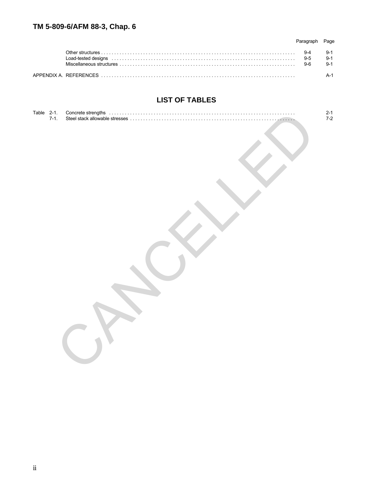|                                                                                                                                                                                                                                | Page |
|--------------------------------------------------------------------------------------------------------------------------------------------------------------------------------------------------------------------------------|------|
|                                                                                                                                                                                                                                |      |
| Load-tested designs in the continuum of the control of the control of the control of the control of the control of the control of the control of the control of the control of the control of the control of the control of th |      |
|                                                                                                                                                                                                                                |      |
|                                                                                                                                                                                                                                |      |

# **LIST OF TABLES**

| Table 2-1.<br>7-1. | . <b>.</b> | $2-1$<br>7-2 |
|--------------------|------------|--------------|
|                    |            |              |
|                    |            |              |
|                    |            |              |
|                    |            |              |
|                    |            |              |
|                    |            |              |
|                    |            |              |
|                    |            |              |
|                    |            |              |
|                    |            |              |
|                    |            |              |
|                    |            |              |
|                    |            |              |
|                    |            |              |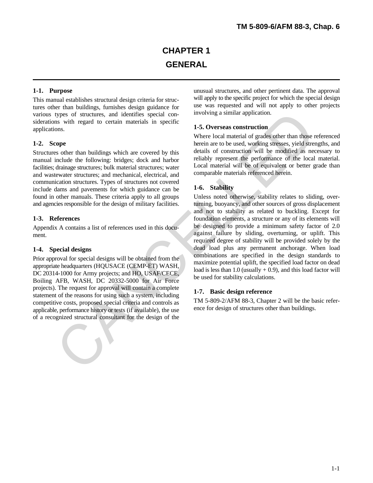This manual establishes structural design criteria for structures other than buildings, furnishes design guidance for various types of structures, and identifies special considerations with regard to certain materials in specific applications.

Structures other than buildings which are covered by this manual include the following: bridges; dock and harbor facilities; drainage structures; bulk material structures; water and wastewater structures; and mechanical, electrical, and communication structures. Types of structures not covered include dams and pavements for which guidance can be found in other manuals. These criteria apply to all groups Unless noted otherwise, stability relates to sliding, overand agencies responsible for the design of military facilities. turning, buoyancy, and other sources of gross displacement

Appendix A contains a list of references used in this document.

#### **1-4. Special designs**

Prior approval for special designs will be obtained from the appropriate headquarters (HQUSACE (CEMP-ET) WASH, DC 20314-1000 for Army projects; and HO, USAF/CECE, Boiling AFB, WASH, DC 20332-5000 for Air Force projects). The request for approval will contain a complete statement of the reasons for using such a system, including competitive costs, proposed special criteria and controls as applicable, performance history or tests (if available), the use of a recognized structural consultant for the design of the

**1-1. Purpose 1. Purpose unusual structures**, and other pertinent data. The approval will apply to the specific project for which the special design use was requested and will not apply to other projects involving a similar application.

#### **1-5. Overseas construction**

**1-2. Scope herein are to be used, working stresses, yield strengths, and** Where local material of grades other than those referenced details of construction will be modified as necessary to reliably represent the performance of the local material. Local material will be of equivalent or better grade than comparable materials referenced herein.

#### **1-6. Stability**

**1-3. References** foundation elements, a structure or any of its elements will and not to stability as related to buckling. Except for be designed to provide a minimum safety factor of 2.0 against failure by sliding, overturning, or uplift. This required degree of stability will be provided solely by the dead load plus any permanent anchorage. When load combinations are specified in the design standards to maximize potential uplift, the specified load factor on dead load is less than 1.0 (usually  $+$  0.9), and this load factor will be used for stability calculations. types of structures, and identifies special con-<br>
as with regard to certain materials in specific special con-<br>
as some than the sole and the sole and the sole and the sole of the sole of the sole and the sole of the colum

#### **1-7. Basic design reference**

TM 5-809-2/AFM 88-3, Chapter 2 will be the basic reference for design of structures other than buildings.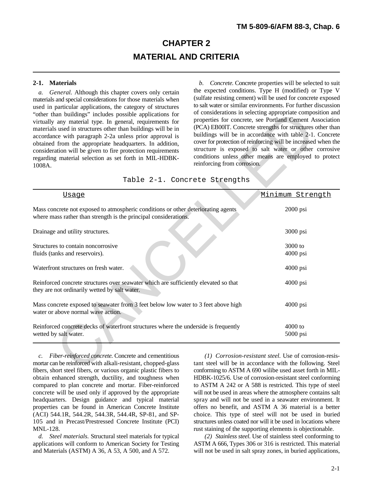# **CHAPTER 2 MATERIAL AND CRITERIA**

*a. General.* Although this chapter covers only certain materials and special considerations for those materials when used in particular applications, the category of structures "other than buildings" includes possible applications for virtually any material type. In general, requirements for materials used in structures other than buildings will be in accordance with paragraph 2-2a unless prior approval is obtained from the appropriate headquarters. In addition, consideration will be given to fire protection requirements regarding material selection as set forth in MIL-HDBK-1008A.

**2-1. Materials** *b. Concrete.* Concrete properties will be selected to suit the expected conditions. Type H (modified) or Type V (sulfate resisting cement) will be used for concrete exposed to salt water or similar environments. For further discussion of considerations in selecting appropriate composition and properties for concrete, see Portland Cement Association (PCA) EB00lT. Concrete strengths for structures other than buildings will be in accordance with table 2-1. Concrete cover for protection of reinforcing will be increased when the structure is exposed to salt water or other corrosive conditions unless other means are employed to protect reinforcing from corrosion.

|  |  |  | Table 2-1. Concrete Strengths |
|--|--|--|-------------------------------|
|--|--|--|-------------------------------|

| of considerations in selecting appropriate composition and<br>"other than buildings" includes possible applications for<br>virtually any material type. In general, requirements for<br>materials used in structures other than buildings will be in<br>accordance with paragraph 2-2a unless prior approval is<br>obtained from the appropriate headquarters. In addition,<br>consideration will be given to fire protection requirements<br>regarding material selection as set forth in MIL-HDBK-<br>reinforcing from corrosion.<br>1008A. |                               | properties for concrete, see Portland Cement Association<br>(PCA) EB00IT. Concrete strengths for structures other than<br>buildings will be in accordance with table 2-1. Concrete<br>cover for protection of reinforcing will be increased when the<br>structure is exposed to salt water or other corrosive<br>conditions unless other means are employed to protect |  |
|-----------------------------------------------------------------------------------------------------------------------------------------------------------------------------------------------------------------------------------------------------------------------------------------------------------------------------------------------------------------------------------------------------------------------------------------------------------------------------------------------------------------------------------------------|-------------------------------|------------------------------------------------------------------------------------------------------------------------------------------------------------------------------------------------------------------------------------------------------------------------------------------------------------------------------------------------------------------------|--|
|                                                                                                                                                                                                                                                                                                                                                                                                                                                                                                                                               | Table 2-1. Concrete Strengths |                                                                                                                                                                                                                                                                                                                                                                        |  |
| <b>Usage</b>                                                                                                                                                                                                                                                                                                                                                                                                                                                                                                                                  |                               | Minimum Strength                                                                                                                                                                                                                                                                                                                                                       |  |
| Mass concrete not exposed to atmospheric conditions or other deteriorating agents<br>where mass rather than strength is the principal considerations.                                                                                                                                                                                                                                                                                                                                                                                         |                               | 2000 psi                                                                                                                                                                                                                                                                                                                                                               |  |
| Drainage and utility structures.                                                                                                                                                                                                                                                                                                                                                                                                                                                                                                              |                               | 3000 psi                                                                                                                                                                                                                                                                                                                                                               |  |
| Structures to contain noncorrosive<br>fluids (tanks and reservoirs).                                                                                                                                                                                                                                                                                                                                                                                                                                                                          |                               | 3000 to<br>4000 psi                                                                                                                                                                                                                                                                                                                                                    |  |
| Waterfront structures on fresh water.                                                                                                                                                                                                                                                                                                                                                                                                                                                                                                         |                               | $4000$ psi                                                                                                                                                                                                                                                                                                                                                             |  |
| Reinforced concrete structures over seawater which are sufficiently elevated so that<br>they are not ordinarily wetted by salt water.                                                                                                                                                                                                                                                                                                                                                                                                         |                               | $4000$ psi                                                                                                                                                                                                                                                                                                                                                             |  |
| Mass concrete exposed to seawater from 3 feet below low water to 3 feet above high<br>water or above normal wave action.                                                                                                                                                                                                                                                                                                                                                                                                                      |                               | $4000$ psi                                                                                                                                                                                                                                                                                                                                                             |  |
| Reinforced concrete decks of waterfront structures where the underside is frequently<br>wetted by salt water.                                                                                                                                                                                                                                                                                                                                                                                                                                 |                               | 4000 to<br>5000 psi                                                                                                                                                                                                                                                                                                                                                    |  |
| Fiber-reinforced concrete. Concrete and cementitious<br>$\mathcal{C}$ .<br>mortar can be reinforced with alkali-resistant, chopped-glass<br>fibers, short steel fibers, or various organic plastic fibers to                                                                                                                                                                                                                                                                                                                                  |                               | (1) Corrosion-resistant steel. Use of corrosion-resis-<br>tant steel will be in accordance with the following. Steel<br>conforming to ASTM A 690 wilibe used asset forth in MII.                                                                                                                                                                                       |  |

mortar can be reinforced with alkali-resistant, chopped-glass tant steel will be in accordance with the following. Steel fibers, short steel fibers, or various organic plastic fibers to conforming to ASTM A 690 wilibe used asset forth in MILobtain enhanced strength, ductility, and toughness when HDBK-1025/6. Use of corrosion-resistant steel conforming compared to plan concrete and mortar. Fiber-reinforced to ASTM A 242 or A 588 is restricted. This type of steel<br>concrete will be used only if approved by the appropriate will not be used in areas where the atmosphere conta headquarters. Design guidance and typical material spray and will not be used in a seawater environment. It properties can be found in American Concrete Institute offers no benefit, and ASTM A 36 material is a better (ACI) 544.1R, 544.2R, 544.3R, 544.4R, SP-81, and SP- choice. This type of steel will not be used in buried 105 and in Precast/Prestressed Concrete Institute (PCI) structures unless coated nor will it be used in locations where MNL-128.<br> *d. Steel materials*. Structural steel materials for typical *(2) Stainless steel*. Use of stainless steel conforming to

applications will conform to American Society for Testing and Materials (ASTM) A 36, A 53, A 500, and A 572. will not be used in salt spray zones, in buried applications,

*c. Fiber-reinforced concrete.* Concrete and cementitious *(1) Corrosion-resistant steel.* Use of corrosion-resiswill not be used in areas where the atmosphere contains salt

*d. Steel materials.* Structural steel materials for typical *(2) Stainless steel.* Use of stainless steel conforming to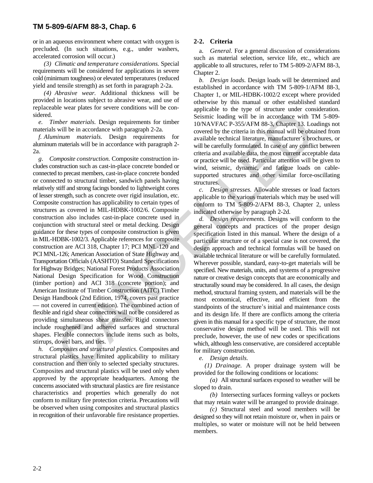or in an aqueous environment where contact with oxygen is **2-2. Criteria** precluded. (In such situations, e.g., under washers, accelerated corrosion will occur.)

*(3) Climatic and temperature considerations.* Special requirements will be considered for applications in severe cold (minimum toughness) or elevated temperatures (reduced yield and tensile strength) as set forth in paragraph 2-2a.

*(4) Abrasive wear.* Additional thickness will be provided in locations subject to abrasive wear, and use of replaceable wear plates for severe conditions will be considered.

*e. Timber materials.* Design requirements for timber materials will be in accordance with paragraph 2-2a.

*f. Aluminum materials.* Design requirements for aluminum materials will be in accordance with paragraph 2- 2a.

*g*. *Composite construction.* Composite construction includes construction such as cast-in-place concrete bonded or connected to precast members, cast-in-place concrete bonded or connected to structural timber, sandwich panels having relatively stiff and strong facings bonded to lightweight cores of lesser strength, such as concrete over rigid insulation, etc. Composite construction has applicability to certain types of structures as covered in MIL-HDBK-1002/6. Composite construction also includes cast-in-place concrete used in conjunction with structural steel or metal decking. Design guidance for these types of composite construction is given in MIL-HDBK-1002/3. Applicable references for composite construction are ACI 318, Chapter 17; PCI MNL-120 and PCI MNL-126; American Association of State Highway and Transportation Officials (AASHTO) Standard Specifications for Highway Bridges; National Forest Products Association National Design Specification for Wood Construction (timber portion) and ACI 318 (concrete portion); and American Institute of Timber Construction (AITC) Timber Design Handbook (2nd Edition, 1974, covers past practice — not covered in current edition). The combined action of flexible and rigid shear connectors will not be considered as providing simultaneous shear transfer. Rigid connectors include roughened and adhered surfaces and structural shapes. Flexible connectors include items such as bolts, stirrups, dowel bars, and ties. mber materials. Design requirements for timber<br>
Sexiante bostine bostine with the in accordance with ranging<br>
will be in accordance with paragraph 2-2a.<br>
Will be in accordance with paragraph 2-2a.<br>
Will be in accordance w

*h. Composites and structural plastics.* Composites and structural plastics have limited applicability to military construction and then only to selected specialty structures. Composites and structural plastics will be used only when approved by the appropriate headquarters. Among the concerns associated with structural plastics are fire resistance characteristics and properties which generally do not conform to military fire protection criteria. Precautions will be observed when using composites and structural plastics in recognition of their unfavorable fire resistance properties.

a. *General.* For a general discussion of considerations such as material selection, service life, etc., which are applicable to all structures, refer to TM 5-809-2/AFM 88-3, Chapter 2.

*b. Design loads.* Design loads will be determined and established in accordance with TM 5-809-1/AFM 88-3, Chapter 1, or MIL-HDBK-1002/2 except where provided otherwise by this manual or other established standard applicable to the type of structure under consideration. Seismic loading will be in accordance with TM 5-809- 10/NAVFAC P-355/AFM 88-3, Chapter 13. Loadings not covered by the criteria in this manual will be obtained from available technical literature, manufacturer's brochures, or will be carefully formulated. In case of any conflict between criteria and available data, the most current acceptable data or practice will be used. Particular attention will be given to wind, seismic, dynamic, and fatigue loads on cablesupported structures and other similar force-oscillating structures.

*c. Design stresses.* Allowable stresses or load factors applicable to the various materials which may be used will conform to TM 5-809-2/AFM 88-3, Chapter 2, unless indicated otherwise by paragraph 2-2d.

*d. Design requirements.* Designs will conform to the general concepts and practices of the proper design specification listed in this manual. Where the design of a particular structure or of a special case is not covered, the design approach and technical formulas will be based on available technical literature or will be carefully formulated. Wherever possible, standard, easy-to-get materials will be specified. New materials, units, and systems of a progressive nature or creative design concepts that are economically and structurally sound may be considered. In all cases, the design method, structural framing system, and materials will be the most economical, effective, and efficient from the standpoints of the structure's initial and maintenance costs and its design life. If there are conflicts among the criteria given in this manual for a specific type of structure, the most conservative design method will be used. This will not preclude, however, the use of new codes or specifications which, although less conservative, are considered acceptable for military construction.

*e. Design details.*

*(1) Drainage.* A proper drainage system will be provided for the following conditions or locations:

*(a)* All structural surfaces exposed to weather will be sloped to drain.

*(b)* Intersecting surfaces forming valleys or pockets that may retain water will be arranged to provide drainage.

*(c)* Structural steel and wood members will be designed so they will not retain moisture or, when in pairs or multiples, so water or moisture will not be held between members.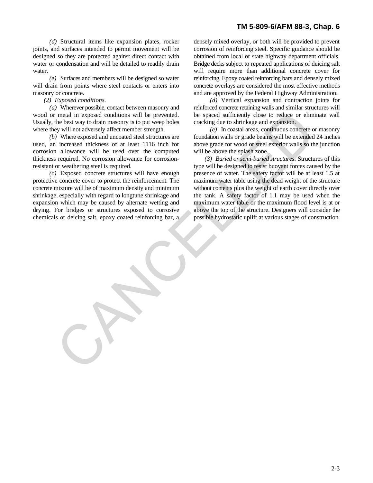joints, and surfaces intended to permit movement will be corrosion of reinforcing steel. Specific guidance should be designed so they are protected against direct contact with obtained from local or state highway department officials. water or condensation and will be detailed to readily drain Bridge decks subject to repeated applications of deicing salt water. When the will require more than additional concrete cover for values of  $\mu$  is  $\mu$  and  $\mu$  is  $\mu$  and  $\mu$  is  $\mu$  and  $\mu$  is  $\mu$  and  $\mu$  is  $\mu$  is  $\mu$  is  $\mu$  is  $\mu$  is  $\mu$  is  $\mu$  is  $\mu$  is  $\mu$  is  $\mu$ 

will drain from points where steel contacts or enters into concrete overlays are considered the most effective methods masonry or concrete. and are approved by the Federal Highway Administration.

wood or metal in exposed conditions will be prevented. be spaced sufficiently close to reduce or eliminate wall Usually, the best way to drain masonry is to put weep holes cracking due to shrinkage and expansion. where they will not adversely affect member strength. *(e)* In coastal areas, continuous concrete or masonry

used, an increased thickness of at least 1116 inch for above grade for wood or steel exterior walls so the junction corrosion allowance will be used over the computed will be above the splash zone. thickness required. No corrosion allowance for corrosion- *(3) Buried or semi-buried structures.* Structures of this resistant or weathering steel is required. type will be designed to resist buoyant forces caused by the

protective concrete cover to protect the reinforcement. The maximum water table using the dead weight of the structure concrete mixture will be of maximum density and minimum without contents plus the weight of earth cover directly over shrinkage, especially with regard to longtune shrinkage and the tank. A safety factor of 1.1 may be used when the expansion which may be caused by alternate wetting and maximum water table or the maximum flood level is at or drying. For bridges or structures exposed to corrosive above the top of the structure. Designers will consider the chemicals or deicing salt, epoxy coated reinforcing bar, a possible hydrostatic uplift at various stages of construction.

*(d)* Structural items like expansion plates, rocker densely mixed overlay, or both will be provided to prevent *(e)* Surfaces and members will be designed so water reinforcing. Epoxy coated reinforcing bars and densely mixed

*(2) Exposed conditions. (d)* Vertical expansion and contraction joints for *(a)* Wherever possible, contact between masonry and reinforced concrete retaining walls and similar structures will

*(b)* Where exposed and uncoated steel structures are foundation walls or grade beams will be extended 24 inches

*(c)* Exposed concrete structures will have enough presence of water. The safety factor will be at least 1.5 at metal in exposed conditions will be presented.<br>In the base square of molecular or reduced on the space of the space of the space of the state of the state of the state of the state of the state of the interacted dickness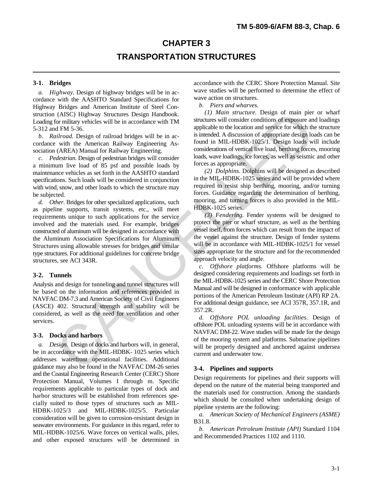# **CHAPTER 3 TRANSPORTATION STRUCTURES**

*a. Highway.* Design of highway bridges will be in accordance with the AASHTO Standard Specifications for Highway Bridges and American Institute of Steel Construction (AISC) Highway Structures Design Handbook. Loading for military vehicles will be in accordance with TM 5-312 and FM 5-36.

*b. Railroad.* Design of railroad bridges will be in accordance with the American Railway Engineering Association (AREA) Manual for Railway Engineering.

*c. Pedestrian.* Design of pedestrian bridges will consider a minimum live load of 85 psf and possible loads by maintenance vehicles as set forth in the AASHTO standard specifications. Such loads will be considered in conjunction with wind, snow, and other loads to which the structure may be subjected.

*d. Other.* Bridges for other specialized applications, such as pipeline supports, transit systems, etc., will meet requirements unique to such applications for the service involved and the materials used. For example, bridges constructed of aluminum will be designed in accordance with the Aluminum Association Specifications for Aluminum Structures using allowable stresses for bridges and similar type structures. For additional guidelines for concrete bridge structures, see ACI 343R. (AISC) Highew Structures Design Handbook.<br>
(ATES Highew Structures (Distributed in the particular state in a structures will consider conditions of exposure and<br>
a FNM 5.3-6.<br>
In the ancient method bridges will be in ac-<br>

#### **3-2. Tunnels**

Analysis and design for tunneling and tunnel structures will be based on the information and references provided in NAVFAC DM-7.3 and American Society of Civil Engineers (ASCE) 402. Structural strength and stability will be considered, as well as the need for ventilation and other services.

#### **3-3. Docks and harbors**

*a. Design.* Design of docks and harbors will, in general, be in accordance with the MIL-HDBK- 1025 series which addresses waterfront operational facilities. Additional guidance may also be found in the NAVFAC DM-26 series and the Coastal Engineering Research Center (CERC) Shore Protection Manual, Volumes I through m. Specific requirements applicable to particular types of dock and harbor structures will be established from references specially suited to those types of structures such as MIL-HDBK-1025/3 and MIL-HDBK-1025/5. Particular consideration will be given to corrosion-resistant design in seawater environments. For guidance in this regard, refer to MIL-HDBK-1025/6. Wave forces on vertical walls, piles, and other exposed structures will be determined in

**3-1. Bridges** accordance with the CERC Shore Protection Manual. Site wave studies will be performed to determine the effect of wave action on structures.

*b. Piers and wharves.*

*(1) Main structure.* Design of main pier or wharf structures will consider conditions of exposure and loadings applicable to the location and service for which the structure is intended. A discussion of appropriate design loads can be found in MIL-HDBK-1025/1. Design loads will include considerations of vertical live load, berthing forces, mooring loads, wave loadings, ice forces, as well as seismic and other forces as appropriate.

*(2) Dolphins.* Dolphins will be designed as described in the MIL-HDBK-1025 series and will be provided where required to resist ship berthing, mooring, and/or turning forces. Guidance regarding the determination of berthing, mooring, and turning forces is also provided in the MIL-HDBK-1025 series.

*(3) Fendering.* Fender systems will be designed to protect the pier or wharf structure, as well as the berthing vessel itself, from forces which can result from the impact of the vessel against the structure. Design of fender systems will be in accordance with MIL-HDBK-1025/1 for vessel sizes appropriate for the structure and for the recommended approach velocity and angle.

*c. Offshore platforms.* Offshore platforms will be designed considering requirements and loadings set forth in the MIL-HDBK-1025 series and the CERC Shore Protection Manual and will be designed in conformance with applicable portions of the American Petroleum Institute (API) RP 2A. For additional design guidance, see ACI 357R, 357.1R, and 357.2R.

*d. Offshore POL unloading facilities.* Design of offshore POL unloading systems will be in accordance with NAVFAC DM-22. Wave studies will be made for the design of the mooring system and platforms. Submarine pipelines will be properly designed and anchored against undersea current and underwater tow.

#### **3-4. Pipelines and supports**

Design requirements for pipelines and their supports will depend on the nature of the material being transported and the materials used for construction. Among the standards which should be consulted when undertaking design of pipeline systems are the following:

*a. American Society of Mechanical Engineers (ASME)* B31.8.

*b. American Petroleum Institute (API)* Standard 1104 and Recommended Practices 1102 and 1110.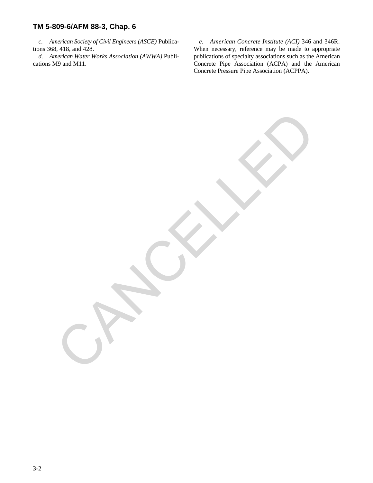cations M9 and M11. Concrete Pipe Association (ACPA) and the American

CANCALLED

*c. American Society of Civil Engineers (ASCE)* Publica- *e. American Concrete Institute (ACI)* 346 and 346R. tions 368, 418, and 428. When necessary, reference may be made to appropriate *d. American Water Works Association (AWWA)* Publi- publications of specialty associations such as the American Concrete Pressure Pipe Association (ACPPA).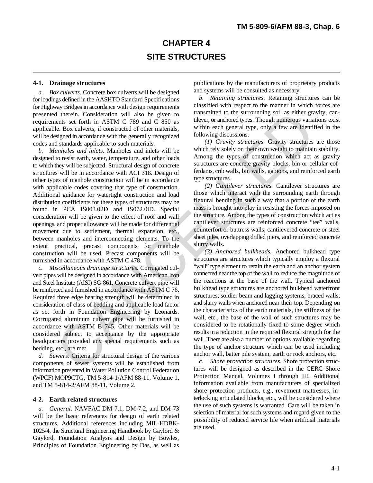# **CHAPTER 4 SITE STRUCTURES**

*a. Box culverts.* Concrete box culverts will be designed for loadings defined in the AASHTO Standard Specifications for Highway Bridges in accordance with design requirements presented therein. Consideration will also be given to requirements set forth in ASTM C 789 and C 850 as applicable. Box culverts, if constructed of other materials, will be designed in accordance with the generally recognized codes and standards applicable to such materials.

*b. Manholes and inlets.* Manholes and inlets will be designed to resist earth, water, temperature, and other loads to which they will be subjected. Structural design of concrete structures will be in accordance with ACI 318. Design of other types of manhole construction will be in accordance with applicable codes covering that type of construction. Additional guidance for watertight construction and load distribution coefficients for these types of structures may be found in PCA IS003.02D and IS072.0lD. Special consideration will be given to the effect of roof and wall openings, and proper allowance will be made for differential movement due to settlement, thermal expansion, etc., between manholes and interconnecting elements. To the extent practical, precast components for manhole construction will be used. Precast components will be furnished in accordance with ASTM C 478. d there is no suitable to give the proposition will also be given to the surrounding soil as either gradient particular the summation of the materials, signal as each converse, if constructed of the materials, signal stan

*c. Miscellaneous drainage structures.* Corrugated culvert pipes will be designed in accordance with American Iron and Steel Institute (AISI) SG-861. Concrete culvert pipe will be reinforced and furnished in accordance with ASTM C 76. Required three edge bearing strength will be determined in consideration of class of bedding and applicable load factor as set forth in Foundation Engineering by Leonards. Corrugated aluminum culvert pipe will be furnished in accordance with ASTM B 745. Other materials will be considered subject to acceptance by the appropriate headquarters provided any special requirements such as bedding, etc., are met.

*d. Sewers.* Criteria for structural design of the various components of sewer systems will be established from information presented in Water Pollution Control Federation (WPCF) MOP9CTG, TM 5-814-1/AFM 88-11, Volume 1, and TM 5-814-2/AFM 88-11, Volume 2.

#### **4-2. Earth related structures**

*a. General.* NAVFAC DM-7.1, DM-7.2, and DM-73 will be the basic references for design of earth related structures. Additional references including MIL-HDBK-1025/4, the Structural Engineering Handbook by Gaylord & Gaylord, Foundation Analysis and Design by Bowles, Principles of Foundation Engineering by Das, as well as

**4-1. Drainage structures** publications by the manufacturers of proprietary products and systems will be consulted as necessary.

> *b. Retaining structures.* Retaining structures can be classified with respect to the manner in which forces are transmitted to the surrounding soil as either gravity, cantilever, or anchored types. Though numerous variations exist within each general type, only a few are identified in the following discussions.

> *(1) Gravity structures.* Gravity structures are those which rely solely on their own weight to maintain stability. Among the types of construction which act as gravity structures are concrete gravity blocks, bin or cellular cofferdams, crib walls, bin walls, gabions, and reinforced earth type structures.

> *(2) Cantilever structures.* Cantilever structures are those which interact with the surrounding earth through flexural bending in such a way that a portion of the earth mass is brought into play in resisting the forces imposed on the structure. Among the types of construction which act as cantilever structures are reinforced concrete "tee" walls, counterfort or buttress walls, cantilevered concrete or steel sheet piles, overlapping drilled piers, and reinforced concrete slurry walls.

> *(3) Anchored bulkheads.* Anchored bulkhead type structures are structures which typically employ a flexural "wall" type element to retain the earth and an anchor system connected near the top of the wall to reduce the magnitude of the reactions at the base of the wall. Typical anchored bulkhead type structures are anchored bulkhead waterfront structures, soldier beam and lagging systems, braced walls, and slurry walls when anchored near their top. Depending on the characteristics of the earth materials, the stiffness of the wall, etc., the base of the wall of such structures may be considered to be rotationally fixed to some degree which results in a reduction in the required flexural strength for the wall. There are also a number of options available regarding the type of anchor structure which can be used including anchor wall, batter pile system, earth or rock anchors, etc.

> *c. Shore protection structures.* Shore protection structures will be designed as described in the CERC Shore Protection Manual, Volumes I through III. Additional information available from manufacturers of specialized shore protection products, e.g., revetment mattresses, interlocking articulated blocks, etc., will be considered where the use of such systems is warranted. Care will be taken in selection of material for such systems and regard given to the possibility of reduced service life when artificial materials are used.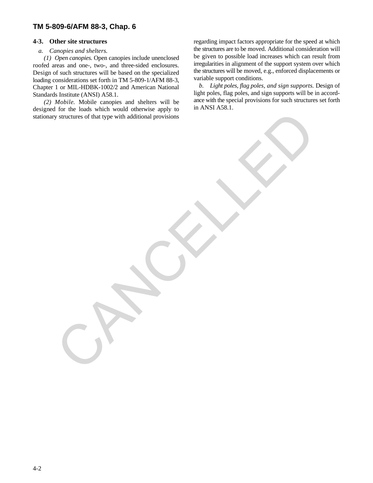#### *a. Canopies and shelters.*

*(1) Open canopies.* Open canopies include unenclosed roofed areas and one-, two-, and three-sided enclosures. Design of such structures will be based on the specialized loading considerations set forth in TM 5-809-1/AFM 88-3, Chapter 1 or MIL-HDBK-1002/2 and American National Standards Institute (ANSI) A58.1.

*(2) Mobile.* Mobile canopies and shelters will be designed for the loads which would otherwise apply to stationary structures of that type with additional provisions CANCELLES of that spe with additional provisions

**4-3. Other site structures** regarding impact factors appropriate for the speed at which the structures are to be moved. Additional consideration will be given to possible load increases which can result from irregularities in alignment of the support system over which the structures will be moved, e.g., enforced displacements or variable support conditions.

*b. Light poles, flag poles, and sign supports.* Design of light poles, flag poles, and sign supports will be in accordance with the special provisions for such structures set forth in ANSI A58.1.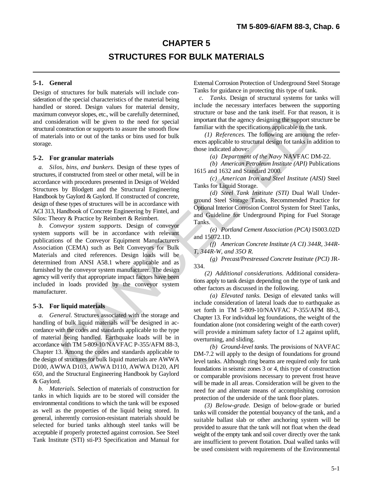# **CHAPTER 5 STRUCTURES FOR BULK MATERIALS**

Design of structures for bulk materials will include consideration of the special characteristics of the material being handled or stored. Design values for material density, maximum conveyor slopes, etc., will be carefully determined, and consideration will be given to the need for special structural construction or supports to assure the smooth flow of materials into or out of the tanks or bins used for bulk storage.

#### **5-2. For granular materials**

*a. Silos, bins, and bunkers.* Design of these types of structures, if constructed from steel or other metal, will be in accordance with procedures presented in Design of Welded Structures by Blodgett and the Structural Engineering Handbook by Gaylord & Gaylord. If constructed of concrete, design of these types of structures will be in accordance with ACI 313, Handbook of Concrete Engineering by Fintel, and Silos: Theory & Practice by Reimbert & Reimbert.

*b. Conveyor system supports.* Design of conveyor system supports will be in accordance with relevant publications of the Conveyor Equipment Manufacturers Association (CEMA) such as Belt Conveyors for Bulk Materials and cited references. Design loads will be determined from ANSI A58.1 where applicable and as furnished by the conveyor system manufacturer. The design agency will verify that appropriate impact factors have been included in loads provided by the conveyor system manufacturer. n conveyor slopes, etc., will be carefully determined,<br>
neparatom (and the ank sine and the constantion of the particular sine and the secondary in<br>power and the anger designing the support sconsoration or supports to ass

#### **5-3. For liquid materials**

*a. General.* Structures associated with the storage and handling of bulk liquid materials will be designed in accordance with the codes and standards applicable to the type of material being handled. Earthquake loads will be in accordance with TM 5-809-10/NAVFAC P-355/AFM 88-3, Chapter 13. Among the codes and standards applicable to the design of structures for bulk liquid materials are AWWA D100, AWWA D103, AWWA D110, AWWA D120, API 650, and the Structural Engineering Handbook by Gaylord & Gaylord.

*b. Materials.* Selection of materials of construction for tanks in which liquids are to be stored will consider the environmental conditions to which the tank will be exposed as well as the properties of the liquid being stored. In general, inherently corrosion-resistant materials should be selected for buried tanks although steel tanks will be acceptable if properly protected against corrosion. See Steel Tank Institute (STI) sti-P3 Specification and Manual for

**5-1. General** External Corrosion Protection of Underground Steel Storage Tanks for guidance in protecting this type of tank.

*c. Tanks.* Design of structural systems for tanks will include the necessary interfaces between the supporting structure or base and the tank itself. For that reason, it is important that the agency designing the support structure be familiar with the specifications applicable to the tank.

*(1) References.* The following are amoung the references applicable to structural design fot tanks in addition to those indicated above:

*(a) Department of the Navy* NAVFAC DM-22.

*(b) American Petroleum Institute (API)* Publications 1615 and 1632 and Standard 2000.

*(c) American Iron and Steel Institute (AISI)* Steel Tanks for Liquid Storage.

*(d) Steel Tank Institute (STI)* Dual Wall Underground Steel Storage Tanks, Recommended Practice for Optional Interior Corrosion Control System for Steel Tanks, and Guideline for Underground Piping for Fuel Storage Tanks.

*(e) Portland Cement Association (PCA)* IS003.02D and 15072.1D.

*(f) American Concrete Institute (A CI) 344R, 344R-T, 344R-W, and 35O R.*

*(g) Precast/Prestressed Concrete Institute (PCI)* JR-334.

*(2) Additional considerations.* Additional considerations apply to tank design depending on the type of tank and other factors as discussed in the following.

*(a) Elevated tanks.* Design of elevated tanks will include consideration of lateral loads due to earthquake as set forth in TM 5-809-10/NAVFAC P-355/AFM 88-3, Chapter 13. For individual leg foundations, the weight of the foundation alone (not considering weight of the earth cover) will provide a minimum safety factor of 1.2 against uplift, overturning, and sliding.

*(b) Ground-level tanks.* The provisions of NAVFAC DM-7.2 will apply to the design of foundations for ground level tanks. Although ring beams are required only for tank foundations in seismic zones 3 or 4, this type of construction or comparable provisions necessary to prevent frost heave will be made in all areas. Consideration will be given to the need for and alternate means of accomplishing corrosion protection of the underside of the tank floor plates.

*(3) Below-grade.* Design of below-grade or buried tanks will consider the potential bouyancy of the tank, and a suitable ballast slab or other anchoring system will be provided to assure that the tank will not float when the dead weight of the empty tank and soil cover directly over the tank are insufficient to prevent flotation. Dual walled tanks will be used consistent with requirements of the Environmental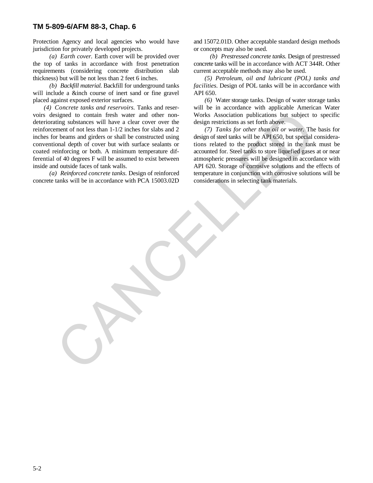Protection Agency and local agencies who would have and 15072.01D. Other acceptable standard design methods jurisdiction for privately developed projects. or concepts may also be used.

the top of tanks in accordance with frost penetration concrete tanks will be in accordance with ACT 344R. Other requirements (considering concrete distribution slab current acceptable methods may also be used. thickness) but will be not less than 2 feet 6 inches. *(5) Petroleum, oil and lubricant (POL) tanks and*

will include a &inch course of inert sand or fine gravel API 650. placed against exposed exterior surfaces. *(6)* Water storage tanks. Design of water storage tanks

voirs designed to contain fresh water and other non- Works Association publications but subject to specific deteriorating substances will have a clear cover over the design restrictions as set forth above. reinforcement of not less than 1-1/2 inches for slabs and 2 *(7) Tanks for other than oil or water.* The basis for inches for beams and girders or shall be constructed using design of steel tanks will be API 650, but special consideraconventional depth of cover but with surface sealants or tions related to the product stored in the tank must be coated reinforcing or both. A minimum temperature dif- accounted for. Steel tanks to store liquefied gases at or near ferential of 40 degrees F will be assumed to exist between atmospheric pressures will be designed in accordance with inside and outside faces of tank walls. API 620. Storage of corrosive solutions and the effects of signed to contain fresh water and other non-<br>
Weist Association publications as set forth above.<br>
Integrating substances will have a clear cover over the dissign restrictions as set forth above.<br>
The hearm and girden of lo

concrete tanks will be in accordance with PCA 15003.02D considerations in selecting tank materials.

*(a) Earth cover.* Earth cover will be provided over *(b) Prestressed concrete tanks.* Design of prestressed

*(b) Backfill material.* Backfill for underground tanks *facilities.* Design of POL tanks will be in accordance with

*(4) Concrete tanks and reservoirs.* Tanks and reser- will be in accordance with applicable American Water

*(a) Reinforced concrete tanks.* Design of reinforced temperature in conjunction with corrosive solutions will be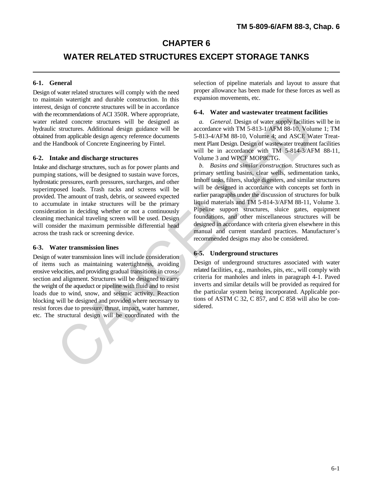## **CHAPTER 6**

## **WATER RELATED STRUCTURES EXCEPT STORAGE TANKS**

Design of water related structures will comply with the need to maintain watertight and durable construction. In this interest, design of concrete structures will be in accordance with the recommendations of ACI 350R. Where appropriate, water related concrete structures will be designed as *a. General*. Design of water supply facilities will be in<br>hydraulic structures. Additional design guidance will be accordance with TM 5-813-1/AFM 88-10. Volume 1: TM hydraulic structures. Additional design guidance will be obtained from applicable design agency reference documents 5-813-4/AFM 88-10, Volume 4; and ASCE Water Treatand the Handbook of Concrete Engineering by Fintel. ment Plant Design. Design of wastewater treatment facilities

#### **6-2. Intake and discharge structures** Volume 3 and WPCF MOP8CTG.

Intake and discharge structures, such as for power plants and pumping stations, will be designed to sustain wave forces, hydrostatic pressures, earth pressures, surcharges, and other superimposed loads. Trash racks and screens will be provided. The amount of trash, debris, or seaweed expected to accumulate in intake structures will be the primary consideration in deciding whether or not a continuously cleaning mechanical traveling screen will be used. Design will consider the maximum permissible differential head across the trash rack or screening device.

#### **6-3. Water transmission lines**

Design of water transmission lines will include consideration of items such as maintaining watertightness, avoiding erosive velocities, and providing gradual transitions in crosssection and alignment. Structures will be designed to carry the weight of the aqueduct or pipeline with fluid and to resist loads due to wind, snow, and seismic activity. Reaction blocking will be designed and provided where necessary to resist forces due to pressure, thrust, impact, water hammer, etc. The structural design will be coordinated with the

**6-1. General** selection of pipeline materials and layout to assure that proper allowance has been made for these forces as well as expansion movements, etc.

#### **6-4. Water and wastewater treatment facilities**

will be in accordance with TM 5-814-3/AFM 88-11,

*b. Basins and similar construction.* Structures such as primary settling basins, clear wells, sedimentation tanks, Imhoff tanks, filters, sludge digesters, and similar structures will be designed in accordance with concepts set forth in earlier paragraphs under the discussion of structures for bulk liquid materials and TM 5-814-3/AFM 88-11, Volume 3. Pipeline support structures, sluice gates, equipment foundations, and other miscellaneous structures will be designed in accordance with criteria given elsewhere in this manual and current standard practices. Manufacturer's recommended designs may also be considered. commendation of ACT 350R. Where appropriate, 64 and and water transmation of ACT 360R. Where and the propriate term and the standard concrete structures Additional design guidance will be accordance with TM-5-811-1/AFM 88-

#### **6-5. Underground structures**

Design of underground structures associated with water related facilities, e.g., manholes, pits, etc., will comply with criteria for manholes and inlets in paragraph 4-1. Paved inverts and similar details will be provided as required for the particular system being incorporated. Applicable portions of ASTM C 32, C 857, and C 858 will also be considered.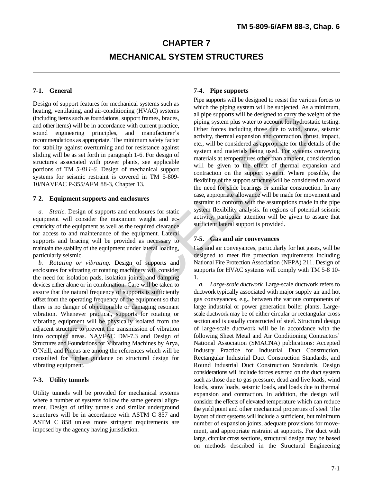# **CHAPTER 7 MECHANICAL SYSTEM STRUCTURES**

heating, ventilating, and air-conditioning (HVAC) systems (including items such as foundations, support frames, braces, and other items) will be in accordance with current practice, sound engineering principles, and manufacturer's recommendations as appropriate. The minimum safety factor for stability against overturning and for resistance against sliding will be as set forth in paragraph 1-6. For design of structures associated with power plants, see applicable portions of TM *5-811-6.* Design of mechanical support systems for seismic restraint is covered in TM 5-809- 10/NAVFAC P-355/AFM 88-3, Chapter 13.

#### **7-2. Equipment supports and enclosures**

*a. Static.* Design of supports and enclosures for static equipment will consider the maximum weight and eccentricity of the equipment as well as the required clearance for access to and maintenance of the equipment. Lateral supports and bracing will be provided as necessary to maintain the stability of the equipment under lateral loading, particularly seismic.

*b. Rotating or vibrating.* Design of supports and enclosures for vibrating or rotating machinery will consider the need for isolation pads, isolation joints, and damping devices either alone or in combination. Care will be taken to assure that the natural frequency of supports is sufficiently offset from the operating frequency of the equipment so that there is no danger of objectionable or damaging resonant vibration. Whenever practical, supports for rotating or vibrating equipment will be physically isolated from the adjacent structure to prevent the transmission of vibration into occupied areas. NAVFAC DM-7.3 and Design of Structures and Foundations for Vibrating Machines by Arya, O\*Neill, and Pincus are among the references which will be consulted for further guidance on structural design for vibrating equipment.

#### **7-3. Utility tunnels**

Utility tunnels will be provided for mechanical systems where a number of systems follow the same general alignment. Design of utility tunnels and similar underground structures will be in accordance with ASTM C 857 and ASTM C 858 unless more stringent requirements are imposed by the agency having jurisdiction.

#### **7-1. General 7-4. Pipe supports**

Pipe supports will be designed to resist the various forces to Design of support features for mechanical systems such as  $\frac{p}{p}$ which the piping system will be subjected. As a minimum, all pipe supports will be designed to carry the weight of the piping system plus water to account for hydrostatic testing. Other forces including those due to wind, snow, seismic activity, thermal expansion and contraction, thrust, impact, etc., will be considered as appropriate for the details of the system and materials being used. For systems conveying materials at temperatures other than ambient, consideration will be given to the effect of thermal expansion and contraction on the support system. Where possible, the flexibility of the support structure will be considered to avoid the need for slide bearings or similar construction. In any case, appropriate allowance will be made for movement and restraint to conform with the assumptions made in the pipe system flexibility analysis. In regions of potential seismic activity, particular attention will be given to assure that sufficient lateral support is provided. ventinaring and arc-onduction and privary is all tip is upper support with be designed to carry the weight<br>significant and the significant sympatric control the accordance with current particles.<br>
The in accordance we are

#### **7-5. Gas and air conveyances**

Gas and air conveyances, particularly for hot gases, will be designed to meet fire protection requirements including National Fire Protection Association (NFPA) 211. Design of supports for HVAC systems will comply with TM 5-8 10- 1.

*a. Large-scale ductwork.* Large-scale ductwork refers to ductwork typically associated with major supply air and hot gas conveyances, e.g., between the various components of large industrial or power generation boiler plants. Largescale ductwork may be of either circular or rectangular cross section and is usually constructed of steel. Structural design of large-scale ductwork will be in accordance with the following Sheet Metal and Air Conditioning Contractors' National Association (SMACNA) publications: Accepted Industry Practice for Industrial Duct Construction, Rectangular Industrial Duct Construction Standards, and Round Industrial Duct Construction Standards. Design considerations will include forces exerted on the duct system such as those due to gas pressure, dead and live loads, wind loads, snow loads, seismic loads, and loads due to thermal expansion and contraction. In addition, the design will consider the effects of elevated temperature which can reduce the yield point and other mechanical properties of steel. The layout of duct systems will include a sufficient, but minimum number of expansion joints, adequate provisions for movement, and appropriate restraint at supports. For duct with large, circular cross sections, structural design may be based on methods described in the Structural Engineering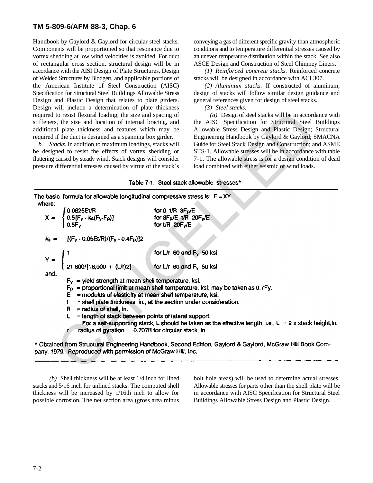Handbook by Gaylord & Gaylord for circular steel stacks. conveying a gas of different specific gravity than atmospheric Components will be proportioned so that resonance due to conditions and to temperature differential stresses caused by vortex shedding at low wind velocities is avoided. For duct an uneven temperature distribution within the stack. See also of rectangular cross section, structural design will be in ASCE Design and Construction of Steel Chimney Liners. accordance with the AISI Design of Plate Structures, Design *(1) Reinforced concrete stacks.* Reinforced concrete of Welded Structures by Blodgett, and applicable portions of stacks will be designed in accordance with ACI 307. the American Institute of Steel Construction (AISC) *(2) Aluminum stacks.* If constructed of aluminum, Specification for Structural Steel Buildings Allowable Stress design of stacks will follow similar design guidance and Design and Plastic Design that relates to plate girders. general references given for design of steel stacks. Design will include a determination of plate thickness *(3) Steel stacks.* required to resist flexural loading, the size and spacing of *(a)* Design of steel stacks will be in accordance with stiffeners, the size and location of internal bracing, and the AISC Specification for Structural Steel Buildings additional plate thickness and features which may be Allowable Stress Design and Plastic Design; Structural required if the duct is designed as a spanning box girder. Engineering Handbook by Gaylord & Gaylord; SMACNA

| required to resist flexural loading, the size and spacing of<br>stiffeners, the size and location of internal bracing, and<br>additional plate thickness and features which may be<br>required if the duct is designed as a spanning box girder.<br>b. Stacks. In addition to maximum loadings, stacks will<br>be designed to resist the effects of vortex shedding or<br>fluttering caused by steady wind. Stack designs will consider<br>pressure differential stresses caused by virtue of the stack's |                                                                                                                   | $(a)$ Design of steel stacks will be in accordance with<br>the AISC Specification for Structural Steel Buildings<br>Allowable Stress Design and Plastic Design; Structural<br>Engineering Handbook by Gaylord & Gaylord; SMACNA<br>Guide for Steel Stack Design and Construction; and ASME<br>STS-1. Allowable stresses will be in accordance with table<br>7-1. The allowable stress is for a design condition of dead<br>load combined with either seismic or wind loads. |
|-----------------------------------------------------------------------------------------------------------------------------------------------------------------------------------------------------------------------------------------------------------------------------------------------------------------------------------------------------------------------------------------------------------------------------------------------------------------------------------------------------------|-------------------------------------------------------------------------------------------------------------------|-----------------------------------------------------------------------------------------------------------------------------------------------------------------------------------------------------------------------------------------------------------------------------------------------------------------------------------------------------------------------------------------------------------------------------------------------------------------------------|
|                                                                                                                                                                                                                                                                                                                                                                                                                                                                                                           |                                                                                                                   | Table 7-1. Steel stack allowable stresses*                                                                                                                                                                                                                                                                                                                                                                                                                                  |
| The basic formula for allowable longitudinal compressive stress is: $F = XY$<br>where:                                                                                                                                                                                                                                                                                                                                                                                                                    |                                                                                                                   |                                                                                                                                                                                                                                                                                                                                                                                                                                                                             |
| $X = \begin{cases} 0.0625E t/R \\ 0.5[F_{y} - k_{s}(F_{y}-F_{p})] \\ 0.5F_{y} \end{cases}$                                                                                                                                                                                                                                                                                                                                                                                                                | for 0 $\mathsf{t/R}$ 8F <sub>p</sub> /E<br>for 8F <sub>p</sub> /E t/R 20F <sub>y</sub> /E<br>for $t/R$ 20 $F_v/E$ |                                                                                                                                                                                                                                                                                                                                                                                                                                                                             |
| $k_s = [(F_V - 0.05Et/R)/(F_V - 0.4F_D)]2$                                                                                                                                                                                                                                                                                                                                                                                                                                                                |                                                                                                                   |                                                                                                                                                                                                                                                                                                                                                                                                                                                                             |
| $Y = \begin{cases} 1 & \text{for L/r 60 and Fy 50 ksi} \\ 21,600/[18,000 + (L/r)2] & \text{for L/r 60 and Fy 50 ksi} \end{cases}$<br>and:                                                                                                                                                                                                                                                                                                                                                                 | for L/r 60 and F <sub>y</sub> 50 ksi                                                                              |                                                                                                                                                                                                                                                                                                                                                                                                                                                                             |
| $F_v$ = yield strength at mean shell temperature, ksi.<br>$F_p$ = proportional limit at mean shell temperature, ksi; may be taken as 0.7Fy.<br>$E =$ modulus of elasticity at mean shell temperature, ksi.<br>= shell plate thickness, in., at the section under consideration.<br>t<br>= radius of shell, in.<br>R.<br>= length of stack between points of lateral support.<br>L                                                                                                                         |                                                                                                                   | For a self-supporting stack, L should be taken as the effective length, i.e., $L = 2x$ stack height, in.                                                                                                                                                                                                                                                                                                                                                                    |
| $r =$ radius of gyration = 0.707R for circular stack, in.<br>pany, 1979. Reproduced with permission of McGraw-Hill, Inc.                                                                                                                                                                                                                                                                                                                                                                                  |                                                                                                                   | * Obtained from Structural Engineering Handbook, Second Edition, Gaylord & Gaylord, McGraw Hill Book Com-                                                                                                                                                                                                                                                                                                                                                                   |
|                                                                                                                                                                                                                                                                                                                                                                                                                                                                                                           |                                                                                                                   |                                                                                                                                                                                                                                                                                                                                                                                                                                                                             |

stacks and 5/16 inch for unlined stacks. The computed shell Allowable stresses for parts other than the shell plate will be thickness will be increased by 1/16th inch to allow for in accordance with AISC Specification for Structural Steel possible corrosion. The net section area (gross area minus Buildings Allowable Stress Design and Plastic Design.

*(b)* Shell thickness will be at least 1/4 inch for lined bolt hole areas) will be used to determine actual stresses.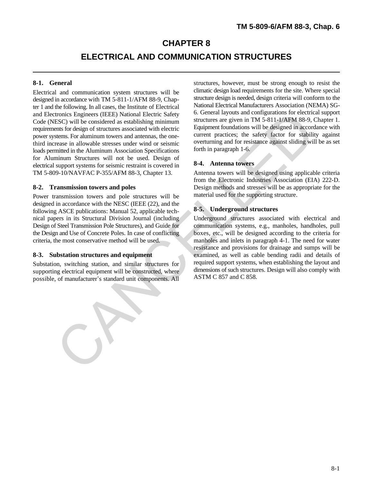## **CHAPTER 8**

## **ELECTRICAL AND COMMUNICATION STRUCTURES**

Electrical and communication system structures will be designed in accordance with TM 5-811-1/AFM 88-9, Chapter 1 and the following. In all cases, the Institute of Electrical and Electronics Engineers (IEEE) National Electric Safety Code (NESC) will be considered as establishing minimum requirements for design of structures associated with electric power systems. For aluminum towers and antennas, the onethird increase in allowable stresses under wind or seismic loads permitted in the Aluminum Association Specifications for Aluminum Structures will not be used. Design of electrical support systems for seismic restraint is covered in TM 5-809-10/NAVFAC P-355/AFM 88-3, Chapter 13. Antenna towers will be designed using applicable criteria Trumple Strainers (IEEE): National Electric Safety<br>
ESC) will be considered as establishing minimum<br>
stractures are given in TM 5-811-1/ATM 88-9,<br>
ensis (as design of structures associated with electric Equipment foundatio

Power transmission towers and pole structures will be designed in accordance with the NESC (IEEE (22), and the following ASCE publications: Manual 52, applicable technical papers in its Structural Division Journal (including Design of Steel Transmission Pole Structures), and Guide for communication systems, e.g., manholes, handholes, pull the Design and Use of Concrete Poles. In case of conflicting boxes, etc., will be designed according to the criteria for criteria, the most conservative method will be used. manholes and inlets in paragraph 4-1. The need for water

Substation, switching station, and similar structures for supporting electrical equipment will be constructed, where possible, of manufacturer's standard unit components. All

**8-1. General** structures, however, must be strong enough to resist the climatic design load requirements for the site. Where special structure design is needed, design criteria will conform to the National Electrical Manufacturers Association (NEMA) SG-6. General layouts and configurations for electrical support structures are given in TM 5-811-1/AFM 88-9, Chapter 1. Equipment foundations will be designed in accordance with current practices; the safety factor for stability against overturning and for resistance against sliding will be as set forth in paragraph 1-6.

#### **8-4. Antenna towers**

**8-2. Transmission towers and poles** Design methods and stresses will be as appropriate for the from the Electronic Industries Association (EIA) 222-D. material used for the supporting structure.

#### **8-5. Underground structures**

Underground structures associated with electrical and **8-3. Substation structures and equipment** examined, as well as cable bending radii and details of resistance and provisions for drainage and sumps will be required support systems, when establishing the layout and dimensions of such structures. Design will also comply with ASTM C 857 and C 858.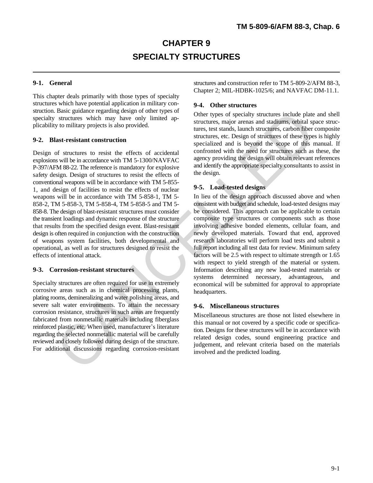# **CHAPTER 9 SPECIALTY STRUCTURES**

This chapter deals primarily with those types of specialty structures which have potential application in military construction. Basic guidance regarding design of other types of specialty structures which may have only limited applicability to military projects is also provided.

#### **9-2. Blast-resistant construction**

Design of structures to resist the effects of accidental explosions will be in accordance with TM 5-1300/NAVFAC P-397/AFM 88-22. The reference is mandatory for explosive safety design. Design of structures to resist the effects of conventional weapons will be in accordance with TM 5-855- 1, and design of facilities to resist the effects of nuclear weapons will be in accordance with TM 5-858-1, TM 5- 858-2, TM 5-858-3, TM 5-858-4, TM 5-858-5 and TM 5- 858-8. The design of blast-resistant structures must consider the transient loadings and dynamic response of the structure that results from the specified design event. Blast-resistant design is often required in conjunction with the construction of weapons system facilities, both developmental and operational, as well as for structures designed to resist the effects of intentional attack. Exampleme regarding accepts of the representation and the specifical potenties structures which may have only limited ap-<br>structures, major areas and stations, derived by to military projects is also provided.<br>
turns, e.e

#### **9-3. Corrosion-resistant structures**

Specialty structures are often required for use in extremely corrosive areas such as in chemical processing plants, plating rooms, demineralizing and water polishing areas, and severe salt water environments. To attain the necessary corrosion resistance, structures in such areas are frequently fabricated from nonmetallic materials including fiberglass reinforced plastic, etc. When used, manufacturer's literature regarding the selected nonmetallic material will be carefully reviewed and closely followed during design of the structure. For additional discussions regarding corrosion-resistant

**9-1. General** structures and construction refer to TM 5-809-2/AFM 88-3, Chapter 2; MIL-HDBK-1025/6; and NAVFAC DM-11.1.

#### **9-4. Other structures**

Other types of specialty structures include plate and shell structures, major arenas and stadiums, orbital space structures, test stands, launch structures, carbon fiber composite structures, etc. Design of structures of these types is highly specialized and is beyond the scope of this manual. If confronted with the need for structures such as these, the agency providing the design will obtain relevant references and identify the appropriate specialty consultants to assist in the design.

#### **9-5. Load-tested designs**

In lieu of the design approach discussed above and when consistent with budget and schedule, load-tested designs may be considered. This approach can be applicable to certain composite type structures or components such as those involving adhesive bonded elements, cellular foam, and newly developed materials. Toward that end, approved research laboratories will perform load tests and submit a full report including all test data for review. Minimum safety factors will be 2.5 with respect to ultimate strength or 1.65 with respect to yield strength of the material or system. Information describing any new load-tested materials or systems determined necessary, advantageous, and economical will be submitted for approval to appropriate headquarters.

#### **9-6. Miscellaneous structures**

Miscellaneous structures are those not listed elsewhere in this manual or not covered by a specific code or specification. Designs for these structures will be in accordance with related design codes, sound engineering practice and judgement, and relevant criteria based on the materials involved and the predicted loading.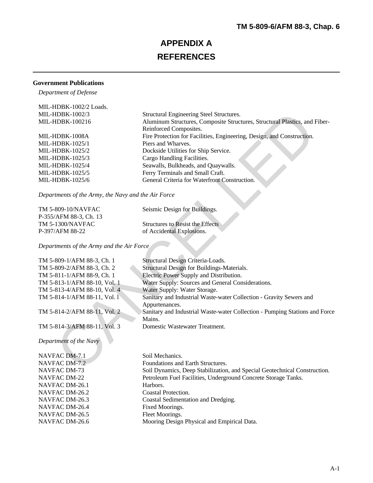# **APPENDIX A REFERENCES**

### **Government Publications**

*Department of Defense*

| MIL-HDBK-1002/2 Loads. |                                                                            |
|------------------------|----------------------------------------------------------------------------|
| $MIL-HDBK-1002/3$      | Structural Engineering Steel Structures.                                   |
| MIL-HDBK-100216        | Aluminum Structures, Composite Structures, Structural Plastics, and Fiber- |
|                        | Reinforced Composites.                                                     |
| MIL-HDBK-1008A         | Fire Protection for Facilities, Engineering, Design, and Construction.     |
| MIL-HDBK-1025/1        | Piers and Wharves.                                                         |
| $MIL-HDBK-1025/2$      | Dockside Utilities for Ship Service.                                       |
| MIL-HDBK- $1025/3$     | Cargo Handling Facilities.                                                 |
| $MIL-HDBK-1025/4$      | Seawalls, Bulkheads, and Quaywalls.                                        |
| $MIL-HDBK-1025/5$      | Ferry Terminals and Small Craft.                                           |
| MIL-HDBK- $1025/6$     | General Criteria for Waterfront Construction.                              |
|                        |                                                                            |

| TM 5-809-10/NAVFAC     | Seismic Design for Buildings.           |
|------------------------|-----------------------------------------|
| P-355/AFM 88-3, Ch. 13 |                                         |
| TM 5-1300/NAVFAC       | <b>Structures to Resist the Effects</b> |
| P-397/AFM 88-22        | of Accidental Explosions.               |

| MIL-HDBK-1002/3                                     | Structural Engineering Steel Structures.                                              |
|-----------------------------------------------------|---------------------------------------------------------------------------------------|
| MIL-HDBK-100216                                     | Aluminum Structures, Composite Structures, Structural Plastics, and Fiber-            |
|                                                     | Reinforced Composites.                                                                |
| MIL-HDBK-1008A                                      | Fire Protection for Facilities, Engineering, Design, and Construction.                |
| MIL-HDBK-1025/1                                     | Piers and Wharves.                                                                    |
| MIL-HDBK-1025/2                                     | Dockside Utilities for Ship Service.                                                  |
| MIL-HDBK-1025/3                                     | Cargo Handling Facilities.                                                            |
| MIL-HDBK-1025/4                                     | Seawalls, Bulkheads, and Quaywalls.                                                   |
| MIL-HDBK-1025/5                                     | Ferry Terminals and Small Craft.                                                      |
| MIL-HDBK-1025/6                                     | General Criteria for Waterfront Construction.                                         |
| Departments of the Army, the Navy and the Air Force |                                                                                       |
| TM 5-809-10/NAVFAC                                  | Seismic Design for Buildings.                                                         |
| P-355/AFM 88-3, Ch. 13                              |                                                                                       |
| <b>TM 5-1300/NAVFAC</b>                             | <b>Structures to Resist the Effects</b>                                               |
| P-397/AFM 88-22                                     | of Accidental Explosions.                                                             |
| Departments of the Army and the Air Force           |                                                                                       |
| TM 5-809-1/AFM 88-3, Ch. 1                          | Structural Design Criteria-Loads.                                                     |
| TM 5-809-2/AFM 88-3, Ch. 2                          | Structural Design for Buildings-Materials.                                            |
| TM 5-811-1/AFM 88-9, Ch. 1                          | Electric Power Supply and Distribution.                                               |
| TM 5-813-1/AFM 88-10, Vol. 1                        | Water Supply: Sources and General Considerations.                                     |
| TM 5-813-4/AFM 88-10, Vol. 4                        | Water Supply: Water Storage.                                                          |
| TM 5-814-1/AFM 88-11, Vol. 1                        | Sanitary and Industrial Waste-water Collection - Gravity Sewers and                   |
|                                                     | Appurtenances.                                                                        |
| TM 5-814-2/AFM 88-11, Vol. 2                        | Sanitary and Industrial Waste-water Collection - Pumping Stations and Force<br>Mains. |
| TM 5-814-3/AFM 88-11, Vol. 3                        | Domestic Wastewater Treatment.                                                        |
| Department of the Navy                              |                                                                                       |
| NAVFAC DM-7.1                                       | Soil Mechanics.                                                                       |
| NAVFAC DM-7.2                                       | Foundations and Earth Structures.                                                     |
| NAVFAC DM-73                                        | Soil Dynamics, Deep Stabilization, and Special Geotechnical Construction.             |
| <b>NAVFAC DM-22</b>                                 | Petroleum Fuel Facilities, Underground Concrete Storage Tanks.                        |
| NAVFAC DM-26.1                                      | Harbors.                                                                              |
| NAVFAC DM-26.2                                      | Coastal Protection.                                                                   |
| NAVFAC DM-26.3                                      | Coastal Sedimentation and Dredging.                                                   |

Mooring Design Physical and Empirical Data.

NAVFAC DM-26.5<br>NAVFAC DM-26.6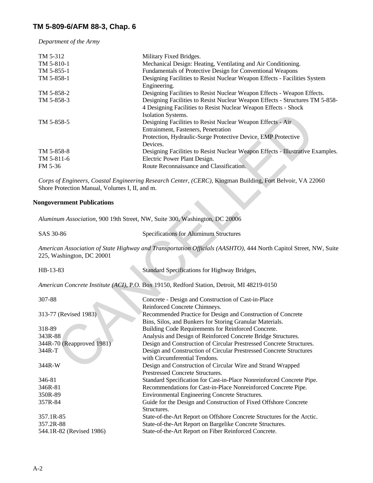*Department of the Army*

| TM 5-312<br>TM 5-810-1<br>TM 5-855-1 | Military Fixed Bridges.<br>Mechanical Design: Heating, Ventilating and Air Conditioning.<br>Fundamentals of Protective Design for Conventional Weapons |
|--------------------------------------|--------------------------------------------------------------------------------------------------------------------------------------------------------|
| TM 5-858-1                           | Designing Facilities to Resist Nuclear Weapon Effects - Facilities System<br>Engineering.                                                              |
| TM 5-858-2                           | Designing Facilities to Resist Nuclear Weapon Effects - Weapon Effects.                                                                                |
| TM 5-858-3                           | Designing Facilities to Resist Nuclear Weapon Effects - Structures TM 5-858-<br>4 Designing Facilities to Resist Nuclear Weapon Effects - Shock        |
|                                      | Isolation Systems.                                                                                                                                     |
| TM 5-858-5                           | Designing Facilities to Resist Nuclear Weapon Effects - Air<br>Entrainment, Fasteners, Penetration                                                     |
|                                      | Protection, Hydraulic-Surge Protective Device, EMP Protective<br>Devices.                                                                              |
| TM 5-858-8<br>TM 5-811-6             | Designing Facilities to Resist Nuclear Weapon Effects - Illustrative Examples.<br>Electric Power Plant Design.                                         |
| FM 5-36                              | Route Reconnaissance and Classification.                                                                                                               |

#### **Nongovernment Publications**

| SAS 30-86 | <b>Specifications for Aluminum Structures</b> |
|-----------|-----------------------------------------------|
|           |                                               |

*American Association of State Highway and Transportation Officials (AASHTO),* 444 North Capitol Street, NW, Suite 225, Washington, DC 20001

| TM 5-858-5                                     | Isolation Systems.<br>Designing Facilities to Resist Nuclear Weapon Effects - Air<br>Entrainment, Fasteners, Penetration<br>Protection, Hydraulic-Surge Protective Device, EMP Protective |
|------------------------------------------------|-------------------------------------------------------------------------------------------------------------------------------------------------------------------------------------------|
| TM 5-858-8                                     | Devices.<br>Designing Facilities to Resist Nuclear Weapon Effects - Illustrative Exam                                                                                                     |
| TM 5-811-6                                     | Electric Power Plant Design.                                                                                                                                                              |
| FM 5-36                                        | Route Reconnaissance and Classification.                                                                                                                                                  |
| Shore Protection Manual, Volumes I, II, and m. | Corps of Engineers, Coastal Engineering Research Center, (CERC), Kingman Building, Fort Belvoir, VA 22060                                                                                 |
| ongovernment Publications                      |                                                                                                                                                                                           |
|                                                | Aluminum Association, 900 19th Street, NW, Suite 300, Washington, DC 20006                                                                                                                |
| SAS 30-86                                      | Specifications for Aluminum Structures                                                                                                                                                    |
| 225, Washington, DC 20001                      | American Association of State Highway and Transportation Officials (AASHTO), 444 North Capitol Street, NW                                                                                 |
| HB-13-83                                       | Standard Specifications for Highway Bridges,                                                                                                                                              |
|                                                | American Concrete Institute (ACI), P.O. Box 19150, Redford Station, Detroit, MI 48219-0150                                                                                                |
| 307-88                                         | Concrete - Design and Construction of Cast-in-Place<br>Reinforced Concrete Chimneys.                                                                                                      |
| 313-77 (Revised 1983).                         | Recommended Practice for Design and Construction of Concrete<br>Bins, Silos, and Bunkers for Storing Granular Materials.                                                                  |
| 318-89                                         | Building Code Requirements for Reinforced Concrete.                                                                                                                                       |
| 343R-88                                        | Analysis and Design of Reinforced Concrete Bridge Structures.                                                                                                                             |
| 344R-70 (Reapproved 1981)                      | Design and Construction of Circular Prestressed Concrete Structures.                                                                                                                      |
| 344R-T                                         | Design and Construction of Circular Prestressed Concrete Structures<br>with Circumferential Tendons.                                                                                      |
| 344R-W                                         | Design and Construction of Circular Wire and Strand Wrapped<br>Prestressed Concrete Structures.                                                                                           |
| 346-81                                         | Standard Specification for Cast-in-Place Nonreinforced Concrete Pipe.                                                                                                                     |
| 346R-81                                        | Recommendations for Cast-in-Place Nonreinforced Concrete Pipe.                                                                                                                            |
| 350R-89                                        | Environmental Engineering Concrete Structures.                                                                                                                                            |
| 357R-84                                        | Guide for the Design and Construction of Fixed Offshore Concrete<br>Structures.                                                                                                           |
| 357.1R-85                                      | State-of-the-Art Report on Offshore Concrete Structures for the Arctic.                                                                                                                   |
| 357.2R-88                                      | State-of-the-Art Report on Bargelike Concrete Structures.                                                                                                                                 |
| 544.1R-82 (Revised 1986)                       | State-of-the-Art Report on Fiber Reinforced Concrete.                                                                                                                                     |
|                                                |                                                                                                                                                                                           |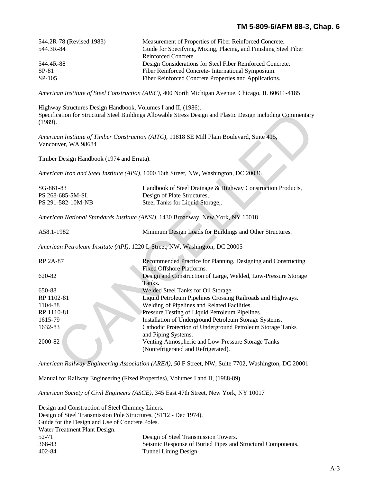| 544.2R-78 (Revised 1983) | Measurement of Properties of Fiber Reinforced Concrete.          |
|--------------------------|------------------------------------------------------------------|
| 544.3R-84                | Guide for Specifying, Mixing, Placing, and Finishing Steel Fiber |
|                          | Reinforced Concrete.                                             |
| 544.4R-88                | Design Considerations for Steel Fiber Reinforced Concrete.       |
| $SP-81$                  | Fiber Reinforced Concrete-International Symposium.               |
| SP-105                   | Fiber Reinforced Concrete Properties and Applications.           |

*American Institute of Steel Construction (AISC),* 400 North Michigan Avenue, Chicago, IL 60611-4185

Highway Structures Design Handbook, Volumes I and II, (1986). Specification for Structural Steel Buildings Allowable Stress Design and Plastic Design including Commentary (1989).

| SG-861-83         | Handbook of Steel Drainage & Highway Construction Products, |
|-------------------|-------------------------------------------------------------|
| PS 268-685-5M-SL  | Design of Plate Structures,                                 |
| PS 291-582-10M-NB | Steel Tanks for Liquid Storage                              |

| (1989).                                   | Specification for Structural Steel Buildings Allowable Stress Design and Plastic Design including Commentary |
|-------------------------------------------|--------------------------------------------------------------------------------------------------------------|
| Vancouver, WA 98684                       | American Institute of Timber Construction (AITC), 11818 SE Mill Plain Boulevard, Suite 415,                  |
| Timber Design Handbook (1974 and Errata). |                                                                                                              |
|                                           | American Iron and Steel Institute (AISI), 1000 16th Street, NW, Washington, DC 20036                         |
| SG-861-83<br>PS 268-685-5M-SL             | Handbook of Steel Drainage & Highway Construction Products,<br>Design of Plate Structures,                   |
| PS 291-582-10M-NB                         | Steel Tanks for Liquid Storage,.                                                                             |
|                                           | American National Standards Institute (ANSI), 1430 Broadway, New York, NY 10018                              |
| A58.1-1982                                | Minimum Design Loads for Buildings and Other Structures.                                                     |
|                                           | American Petroleum Institute (API), 1220 L Street, NW, Washington, DC 20005                                  |
| <b>RP 2A-87</b>                           | Recommended Practice for Planning, Designing and Constructing<br><b>Fixed Offshore Platforms.</b>            |
| 620-82                                    | Design and Construction of Large, Welded, Low-Pressure Storage<br>Tanks.                                     |
| 650-88                                    | Welded Steel Tanks for Oil Storage.                                                                          |
| RP 1102-81                                | Liquid Petroleum Pipelines Crossing Railroads and Highways.                                                  |
| 1104-88                                   | Welding of Pipelines and Related Facilities.                                                                 |
| RP 1110-81                                | Pressure Testing of Liquid Petroleum Pipelines.                                                              |
| 1615-79                                   | Installation of Underground Petroleum Storage Systems.                                                       |
| 1632-83                                   | Cathodic Protection of Underground Petroleum Storage Tanks<br>and Piping Systems.                            |
| 2000-82                                   | Venting Atmospheric and Low-Pressure Storage Tanks<br>(Nonrefrigerated and Refrigerated).                    |
|                                           | American Railway Engineering Association (AREA), 50 F Street, NW, Suite 7702, Washington, DC 20001           |

Manual for Railway Engineering (Fixed Properties), Volumes I and II, (1988-89).

*American Society of Civil Engineers (ASCE),* 345 East 47th Street, New York, NY 10017

| Design and Construction of Steel Chimney Liners.                 |                                                             |
|------------------------------------------------------------------|-------------------------------------------------------------|
| Design of Steel Transmission Pole Structures, (ST12 - Dec 1974). |                                                             |
| Guide for the Design and Use of Concrete Poles.                  |                                                             |
| Water Treatment Plant Design.                                    |                                                             |
| 52-71                                                            | Design of Steel Transmission Towers.                        |
| 368-83                                                           | Seismic Response of Buried Pipes and Structural Components. |
| 402-84                                                           | Tunnel Lining Design.                                       |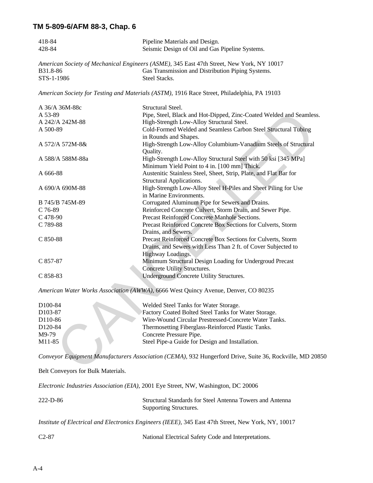| 418-84<br>428-84                   | Pipeline Materials and Design.<br>Seismic Design of Oil and Gas Pipeline Systems.                        |
|------------------------------------|----------------------------------------------------------------------------------------------------------|
|                                    | American Society of Mechanical Engineers (ASME), 345 East 47th Street, New York, NY 10017                |
| B31.8-86                           | Gas Transmission and Distribution Piping Systems.                                                        |
| STS-1-1986                         | Steel Stacks.                                                                                            |
|                                    | American Society for Testing and Materials (ASTM), 1916 Race Street, Philadelphia, PA 19103              |
| A 36/A 36M-88c                     | Structural Steel.                                                                                        |
| A 53-89                            | Pipe, Steel, Black and Hot-Dipped, Zinc-Coated Welded and Seamless.                                      |
| A 242/A 242M-88                    | High-Strength Low-Alloy Structural Steel.                                                                |
| A 500-89                           | Cold-Formed Welded and Seamless Carbon Steel Structural Tubing                                           |
|                                    | in Rounds and Shapes.                                                                                    |
| A 572/A 572M-8&                    | High-Strength Low-Alloy Columbium-Vanadium Steels of Structural<br>Quality.                              |
| A 588/A 588M-88a                   | High-Strength Low-Alloy Structural Steel with 50 ksi [345 MPa]                                           |
|                                    | Minimum Yield Point to 4 in. [100 mm] Thick.                                                             |
| A 666-88                           | Austenitic Stainless Steel, Sheet, Strip, Plate, and Flat Bar for                                        |
|                                    | Structural Applications.                                                                                 |
|                                    | High-Strength Low-Alloy Steel H-Piles and Sheet Piling for Use                                           |
| A 690/A 690M-88                    | in Marine Environments.                                                                                  |
| B 745/B 745M-89                    | Corrugated Aluminum Pipe for Sewers and Drains.                                                          |
| $C$ 76-89                          | Reinforced Concrete Culvert, Storm Drain, and Sewer Pipe.                                                |
| $C$ 478-90                         | Precast Reinforced Concrete Manhole Sections.                                                            |
| C 789-88                           | Precast Reinforced Concrete Box Sections for Culverts, Storm                                             |
|                                    | Drains, and Sewers.                                                                                      |
|                                    |                                                                                                          |
| $C850-88$                          | Precast Reinforced Concrete Box Sections for Culverts, Storm                                             |
|                                    | Drains, and Sewers with Less Than 2 ft. of Cover Subjected to<br>Highway Loadings.                       |
| $C857-87$                          | Minimum Structural Design Loading for Undergroud Precast                                                 |
|                                    |                                                                                                          |
|                                    | Concrete Utility Structures.<br>Underground Concrete Utility Structures.                                 |
| $C858-83$                          |                                                                                                          |
|                                    | American Water Works Association (AWWA), 6666 West Quincy Avenue, Denver, CO 80235                       |
| D <sub>100</sub> -84               | Welded Steel Tanks for Water Storage.                                                                    |
| D <sub>103</sub> -87               | Factory Coated Bolted Steel Tanks for Water Storage.                                                     |
| D <sub>110</sub> -86               | Wire-Wound Circular Prestressed-Concrete Water Tanks.                                                    |
| D120-84                            | Thermosetting Fiberglass-Reinforced Plastic Tanks.                                                       |
| M9-79                              | Concrete Pressure Pipe.                                                                                  |
| M11-85                             | Steel Pipe-a Guide for Design and Installation.                                                          |
|                                    |                                                                                                          |
|                                    | Conveyor Equipment Manufacturers Association (CEMA), 932 Hungerford Drive, Suite 36, Rockville, MD 20850 |
| Belt Conveyors for Bulk Materials. |                                                                                                          |
|                                    | Electronic Industries Association (EIA), 2001 Eye Street, NW, Washington, DC 20006                       |
| 222-D-86                           | Structural Standards for Steel Antenna Towers and Antenna<br>Supporting Structures.                      |
|                                    |                                                                                                          |

*Institute of Electrical and Electronics Engineers (IEEE),* 345 East 47th Street, New York, NY, 10017

| $C2-87$ | National Electrical Safety Code and Interpretations. |  |
|---------|------------------------------------------------------|--|
|---------|------------------------------------------------------|--|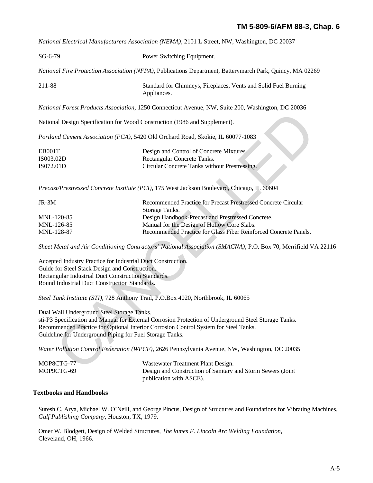*National Electrical Manufacturers Association (NEMA),* 2101 L Street, NW, Washington, DC 20037

| $SG-6-79$                                                                                                                                                                                                              | Power Switching Equipment.                                                                                                                                                                    |
|------------------------------------------------------------------------------------------------------------------------------------------------------------------------------------------------------------------------|-----------------------------------------------------------------------------------------------------------------------------------------------------------------------------------------------|
|                                                                                                                                                                                                                        | National Fire Protection Association (NFPA), Publications Department, Batterymarch Park, Quincy, MA 02269                                                                                     |
| 211-88                                                                                                                                                                                                                 | Standard for Chimneys, Fireplaces, Vents and Solid Fuel Burning<br>Appliances.                                                                                                                |
|                                                                                                                                                                                                                        | National Forest Products Association, 1250 Connecticut Avenue, NW, Suite 200, Washington, DC 20036                                                                                            |
| National Design Specification for Wood Construction (1986 and Supplement).                                                                                                                                             |                                                                                                                                                                                               |
|                                                                                                                                                                                                                        | Portland Cement Association (PCA), 5420 Old Orchard Road, Skokie, IL 60077-1083                                                                                                               |
| EB001T<br>IS003.02D<br>IS072.01D                                                                                                                                                                                       | Design and Control of Concrete Mixtures.<br>Rectangular Concrete Tanks.<br>Circular Concrete Tanks without Prestressing.                                                                      |
|                                                                                                                                                                                                                        | Precast/Prestressed Concrete Institute (PCI), 175 West Jackson Boulevard, Chicago, IL 60604                                                                                                   |
|                                                                                                                                                                                                                        |                                                                                                                                                                                               |
| JR-3M                                                                                                                                                                                                                  | Recommended Practice for Precast Prestressed Concrete Circular                                                                                                                                |
| MNL-120-85                                                                                                                                                                                                             | Storage Tanks.<br>Design Handbook-Precast and Prestressed Concrete.                                                                                                                           |
| MNL-126-85                                                                                                                                                                                                             | Manual for the Design of Hollow Core Slabs.                                                                                                                                                   |
| MNL-128-87                                                                                                                                                                                                             | Recommended Practice for Glass Fiber Reinforced Concrete Panels.                                                                                                                              |
|                                                                                                                                                                                                                        | Sheet Metal and Air Conditioning Contractors' National Association (SMACNA), P.O. Box 70, Merrifield VA 22                                                                                    |
| Accepted Industry Practice for Industrial Duct Construction.<br>Guide for Steel Stack Design and Construction.<br>Rectangular Industrial Duct Construction Standards.<br>Round Industrial Duct Construction Standards. |                                                                                                                                                                                               |
|                                                                                                                                                                                                                        | Steel Tank Institute (STI), 728 Anthony Trail, P.O.Box 4020, Northbrook, IL 60065                                                                                                             |
| Dual Wall Underground Steel Storage Tanks.<br>Guideline for Underground Piping for Fuel Storage Tanks.                                                                                                                 | sti-P3 Specification and Manual for External Corrosion Protection of Underground Steel Storage Tanks.<br>Recommended Practice for Optional Interior Corrosion Control System for Steel Tanks. |
|                                                                                                                                                                                                                        | Water Pollution Control Federation (WPCF), 2626 Pennsylvania Avenue, NW, Washington, DC 20035                                                                                                 |
| MOP8CTG-77                                                                                                                                                                                                             | Wastewater Treatment Plant Design.                                                                                                                                                            |
| $MODQCTG_6Q$                                                                                                                                                                                                           | Decian and Construction of Senitory and Storm Servers (Joint                                                                                                                                  |

| $IR-3M$    | Recommended Practice for Precast Prestressed Concrete Circular   |
|------------|------------------------------------------------------------------|
|            | Storage Tanks.                                                   |
| MNL-120-85 | Design Handbook-Precast and Prestressed Concrete.                |
| MNL-126-85 | Manual for the Design of Hollow Core Slabs.                      |
| MNL-128-87 | Recommended Practice for Glass Fiber Reinforced Concrete Panels. |

| MOP8CTG-77 | Wastewater Treatment Plant Design.                          |
|------------|-------------------------------------------------------------|
| MOP9CTG-69 | Design and Construction of Sanitary and Storm Sewers (Joint |
|            | publication with ASCE).                                     |

## **Textbooks and Handbooks**

Suresh C. Arya, Michael W. O\*Neill, and George Pincus, Design of Structures and Foundations for Vibrating Machines, *Gulf Publishing Company,* Houston, TX, 1979.

Omer W. Blodgett, Design of Welded Structures, *The lames F. Lincoln Arc Welding Foundation,*  Cleveland, OH, 1966.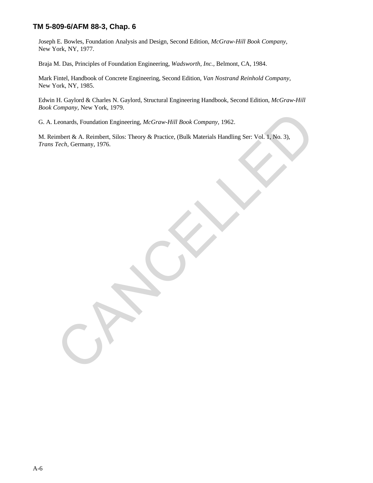Joseph E. Bowles, Foundation Analysis and Design, Second Edition, *McGraw-Hill Book Company,* New York, NY, 1977.

Braja M. Das, Principles of Foundation Engineering, *Wadsworth, Inc.,* Belmont, CA, 1984.

Mark Fintel, Handbook of Concrete Engineering, Second Edition, *Van Nostrand Reinhold Company,*  New York, NY, 1985.

Edwin H. Gaylord & Charles N. Gaylord, Structural Engineering Handbook, Second Edition, *McGraw-Hill Book Company,* New York, 1979.

G. A. Leonards, Foundation Engineering, *McGraw-Hill Book Company,* 1962.

M. Reimbert & A. Reimbert, Silos: Theory & Practice, (Bulk Materials Handling Ser: Vol. 1, No. 3), *Trans Tech,* Germany, 1976. Leonards, Foundation Engineering, *McGraw-Hill Book Company*, 1962.<br>
imbert & A. Reimbert, Silos: Theory & Practice, (Bulk Materials Handling Ser: Vol. 1, No. 3).<br> *Tech*, Germany, 1976.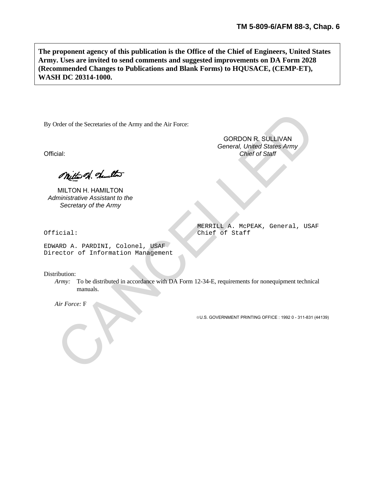**The proponent agency of this publication is the Office of the Chief of Engineers, United States Army. Uses are invited to send comments and suggested improvements on DA Form 2028 (Recommended Changes to Publications and Blank Forms) to HQUSACE, (CEMP-ET), WASH DC 20314-1000.**

By Order of the Secretaries of the Army and the Air Force:

Official: *Chief of Staff*

MILTON H. HAMILTON *Administrative Assistant to the Secretary of the Army*

Official: Chief of Staff

EDWARD A. PARDINI, Colonel, USAF Director of Information Management

Distribution:

*Army:* To be distributed in accordance with DA Form 12-34-E, requirements for nonequipment technical manuals. Order of the Secretaries of the Army and the Air Force:<br>
GORDON R. SULLIVAN<br>
Coneral, United States Army<br>
Chief of Staff<br>
MILTON H. HAMILTON<br>
MILTON H. HAMILTON<br>
MICHON HAMILTON<br>
Secretary of the Army<br>
icial:<br>
BERETLL A. M

*Air Force:* F

**☆U.S. GOVERNMENT PRINTING OFFICE : 1992 0 - 311-831 (44139)** 

GORDON R. SULLIVAN *General, United States Army*

MERRILL A. McPEAK, General, USAF